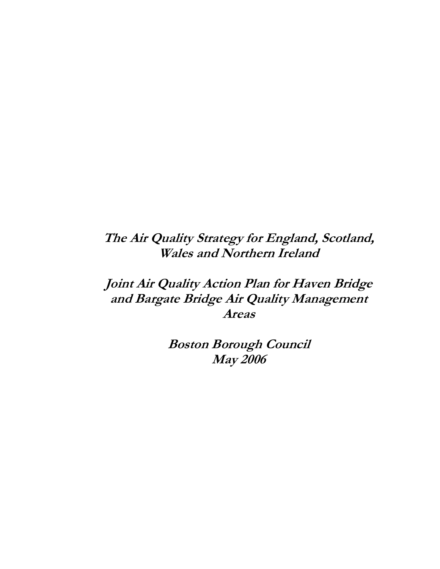# The Air Quality Strategy for England, Scotland, Wales and Northern Ireland

# Joint Air Quality Action Plan for Haven Bridge and Bargate Bridge Air Quality Management Areas

Boston Borough Council May 2006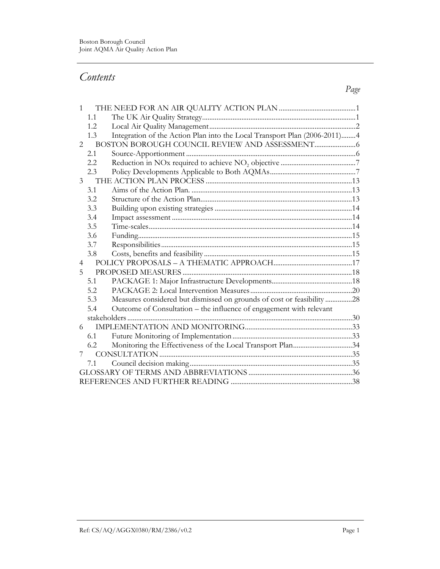# Contents

| 1                           |      |                                                                            |  |
|-----------------------------|------|----------------------------------------------------------------------------|--|
|                             | 1.1  |                                                                            |  |
|                             | 1.2. |                                                                            |  |
|                             | 1.3  | Integration of the Action Plan into the Local Transport Plan (2006-2011) 4 |  |
| $\mathcal{D}_{\mathcal{L}}$ |      |                                                                            |  |
|                             | 2.1  |                                                                            |  |
|                             | 2.2  |                                                                            |  |
|                             | 2.3  |                                                                            |  |
| 3                           |      |                                                                            |  |
|                             | 3.1  |                                                                            |  |
|                             | 3.2  |                                                                            |  |
|                             | 3.3  |                                                                            |  |
|                             | 3.4  |                                                                            |  |
|                             | 3.5  |                                                                            |  |
|                             | 3.6  |                                                                            |  |
|                             | 3.7  |                                                                            |  |
|                             | 3.8  |                                                                            |  |
| 4                           |      |                                                                            |  |
| 5                           |      |                                                                            |  |
|                             | 5.1  |                                                                            |  |
|                             | 5.2  |                                                                            |  |
|                             | 5.3  | Measures considered but dismissed on grounds of cost or feasibility 28     |  |
|                             | 5.4  | Outcome of Consultation - the influence of engagement with relevant        |  |
|                             |      |                                                                            |  |
| 6                           |      |                                                                            |  |
|                             | 6.1  |                                                                            |  |
|                             | 6.2  | Monitoring the Effectiveness of the Local Transport Plan34                 |  |
|                             |      |                                                                            |  |
|                             | 7.1  |                                                                            |  |
|                             |      |                                                                            |  |
|                             |      |                                                                            |  |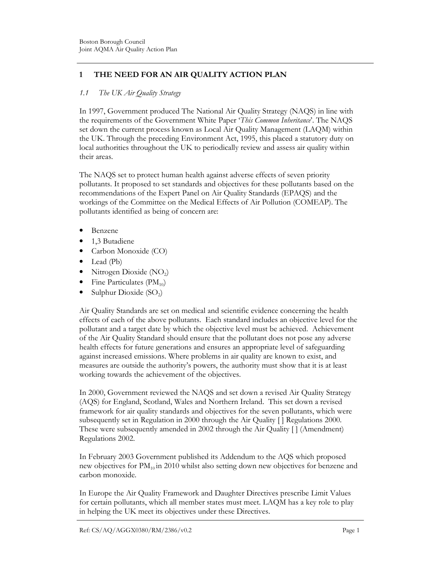# 1 THE NEED FOR AN AIR QUALITY ACTION PLAN

# 1.1 The UK Air Quality Strategy

In 1997, Government produced The National Air Quality Strategy (NAQS) in line with the requirements of the Government White Paper 'This Common Inheritance'. The NAQS set down the current process known as Local Air Quality Management (LAQM) within the UK. Through the preceding Environment Act, 1995, this placed a statutory duty on local authorities throughout the UK to periodically review and assess air quality within their areas.

The NAQS set to protect human health against adverse effects of seven priority pollutants. It proposed to set standards and objectives for these pollutants based on the recommendations of the Expert Panel on Air Quality Standards (EPAQS) and the workings of the Committee on the Medical Effects of Air Pollution (COMEAP). The pollutants identified as being of concern are:

- Benzene
- 1,3 Butadiene
- Carbon Monoxide (CO)
- Lead (Pb)
- Nitrogen Dioxide  $(NO<sub>2</sub>)$
- Fine Particulates  $(PM_{10})$
- Sulphur Dioxide  $(SO_2)$

Air Quality Standards are set on medical and scientific evidence concerning the health effects of each of the above pollutants. Each standard includes an objective level for the pollutant and a target date by which the objective level must be achieved. Achievement of the Air Quality Standard should ensure that the pollutant does not pose any adverse health effects for future generations and ensures an appropriate level of safeguarding against increased emissions. Where problems in air quality are known to exist, and measures are outside the authority's powers, the authority must show that it is at least working towards the achievement of the objectives.

In 2000, Government reviewed the NAQS and set down a revised Air Quality Strategy (AQS) for England, Scotland, Wales and Northern Ireland. This set down a revised framework for air quality standards and objectives for the seven pollutants, which were subsequently set in Regulation in 2000 through the Air Quality [ ] Regulations 2000. These were subsequently amended in 2002 through the Air Quality [ ] (Amendment) Regulations 2002.

In February 2003 Government published its Addendum to the AQS which proposed new objectives for  $PM_{10}$  in 2010 whilst also setting down new objectives for benzene and carbon monoxide.

In Europe the Air Quality Framework and Daughter Directives prescribe Limit Values for certain pollutants, which all member states must meet. LAQM has a key role to play in helping the UK meet its objectives under these Directives.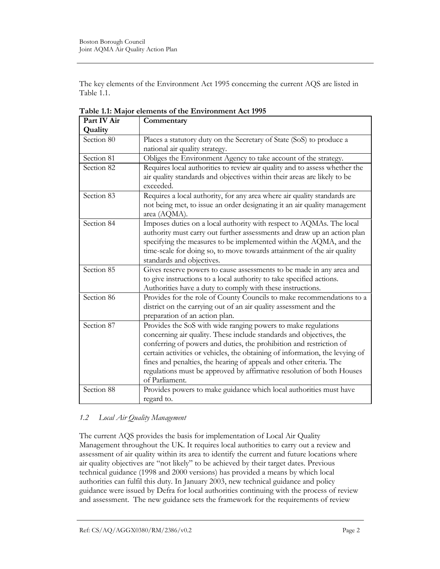The key elements of the Environment Act 1995 concerning the current AQS are listed in Table 1.1.

| Part IV Air | Commentary                                                                                                                                                                                                                                                                                                                                                                                                                                                    |
|-------------|---------------------------------------------------------------------------------------------------------------------------------------------------------------------------------------------------------------------------------------------------------------------------------------------------------------------------------------------------------------------------------------------------------------------------------------------------------------|
| Quality     |                                                                                                                                                                                                                                                                                                                                                                                                                                                               |
| Section 80  | Places a statutory duty on the Secretary of State (SoS) to produce a<br>national air quality strategy.                                                                                                                                                                                                                                                                                                                                                        |
| Section 81  | Obliges the Environment Agency to take account of the strategy.                                                                                                                                                                                                                                                                                                                                                                                               |
| Section 82  | Requires local authorities to review air quality and to assess whether the<br>air quality standards and objectives within their areas are likely to be<br>exceeded.                                                                                                                                                                                                                                                                                           |
| Section 83  | Requires a local authority, for any area where air quality standards are<br>not being met, to issue an order designating it an air quality management<br>area (AQMA).                                                                                                                                                                                                                                                                                         |
| Section 84  | Imposes duties on a local authority with respect to AQMAs. The local<br>authority must carry out further assessments and draw up an action plan<br>specifying the measures to be implemented within the AQMA, and the<br>time-scale for doing so, to move towards attainment of the air quality<br>standards and objectives.                                                                                                                                  |
| Section 85  | Gives reserve powers to cause assessments to be made in any area and<br>to give instructions to a local authority to take specified actions.<br>Authorities have a duty to comply with these instructions.                                                                                                                                                                                                                                                    |
| Section 86  | Provides for the role of County Councils to make recommendations to a<br>district on the carrying out of an air quality assessment and the<br>preparation of an action plan.                                                                                                                                                                                                                                                                                  |
| Section 87  | Provides the SoS with wide ranging powers to make regulations<br>concerning air quality. These include standards and objectives, the<br>conferring of powers and duties, the prohibition and restriction of<br>certain activities or vehicles, the obtaining of information, the levying of<br>fines and penalties, the hearing of appeals and other criteria. The<br>regulations must be approved by affirmative resolution of both Houses<br>of Parliament. |
| Section 88  | Provides powers to make guidance which local authorities must have<br>regard to.                                                                                                                                                                                                                                                                                                                                                                              |

Table 1.1: Major elements of the Environment Act 1995

# 1.2 Local Air Quality Management

The current AQS provides the basis for implementation of Local Air Quality Management throughout the UK. It requires local authorities to carry out a review and assessment of air quality within its area to identify the current and future locations where air quality objectives are "not likely" to be achieved by their target dates. Previous technical guidance (1998 and 2000 versions) has provided a means by which local authorities can fulfil this duty. In January 2003, new technical guidance and policy guidance were issued by Defra for local authorities continuing with the process of review and assessment. The new guidance sets the framework for the requirements of review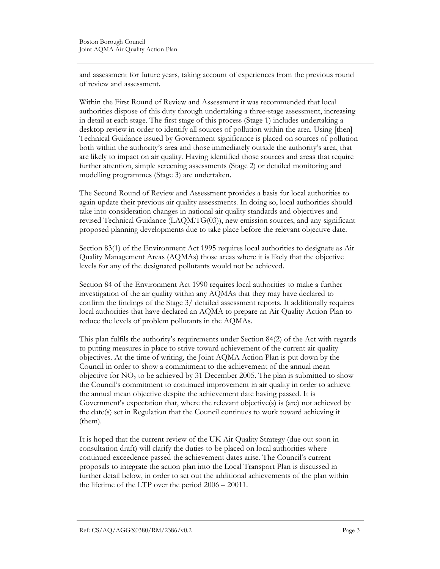and assessment for future years, taking account of experiences from the previous round of review and assessment.

Within the First Round of Review and Assessment it was recommended that local authorities dispose of this duty through undertaking a three-stage assessment, increasing in detail at each stage. The first stage of this process (Stage 1) includes undertaking a desktop review in order to identify all sources of pollution within the area. Using [then] Technical Guidance issued by Government significance is placed on sources of pollution both within the authority's area and those immediately outside the authority's area, that are likely to impact on air quality. Having identified those sources and areas that require further attention, simple screening assessments (Stage 2) or detailed monitoring and modelling programmes (Stage 3) are undertaken.

The Second Round of Review and Assessment provides a basis for local authorities to again update their previous air quality assessments. In doing so, local authorities should take into consideration changes in national air quality standards and objectives and revised Technical Guidance (LAQM.TG(03)), new emission sources, and any significant proposed planning developments due to take place before the relevant objective date.

Section 83(1) of the Environment Act 1995 requires local authorities to designate as Air Quality Management Areas (AQMAs) those areas where it is likely that the objective levels for any of the designated pollutants would not be achieved.

Section 84 of the Environment Act 1990 requires local authorities to make a further investigation of the air quality within any AQMAs that they may have declared to confirm the findings of the Stage 3/ detailed assessment reports. It additionally requires local authorities that have declared an AQMA to prepare an Air Quality Action Plan to reduce the levels of problem pollutants in the AQMAs.

This plan fulfils the authority's requirements under Section 84(2) of the Act with regards to putting measures in place to strive toward achievement of the current air quality objectives. At the time of writing, the Joint AQMA Action Plan is put down by the Council in order to show a commitment to the achievement of the annual mean objective for  $NO<sub>2</sub>$  to be achieved by 31 December 2005. The plan is submitted to show the Council's commitment to continued improvement in air quality in order to achieve the annual mean objective despite the achievement date having passed. It is Government's expectation that, where the relevant objective(s) is (are) not achieved by the date(s) set in Regulation that the Council continues to work toward achieving it (them).

It is hoped that the current review of the UK Air Quality Strategy (due out soon in consultation draft) will clarify the duties to be placed on local authorities where continued exceedence passed the achievement dates arise. The Council's current proposals to integrate the action plan into the Local Transport Plan is discussed in further detail below, in order to set out the additional achievements of the plan within the lifetime of the LTP over the period 2006 – 20011.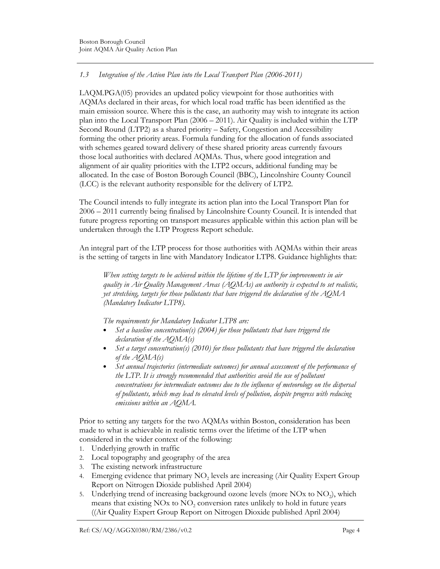# 1.3 Integration of the Action Plan into the Local Transport Plan (2006-2011)

LAQM.PGA(05) provides an updated policy viewpoint for those authorities with AQMAs declared in their areas, for which local road traffic has been identified as the main emission source. Where this is the case, an authority may wish to integrate its action plan into the Local Transport Plan (2006 – 2011). Air Quality is included within the LTP Second Round (LTP2) as a shared priority – Safety, Congestion and Accessibility forming the other priority areas. Formula funding for the allocation of funds associated with schemes geared toward delivery of these shared priority areas currently favours those local authorities with declared AQMAs. Thus, where good integration and alignment of air quality priorities with the LTP2 occurs, additional funding may be allocated. In the case of Boston Borough Council (BBC), Lincolnshire County Council (LCC) is the relevant authority responsible for the delivery of LTP2.

The Council intends to fully integrate its action plan into the Local Transport Plan for 2006 – 2011 currently being finalised by Lincolnshire County Council. It is intended that future progress reporting on transport measures applicable within this action plan will be undertaken through the LTP Progress Report schedule.

An integral part of the LTP process for those authorities with AQMAs within their areas is the setting of targets in line with Mandatory Indicator LTP8. Guidance highlights that:

When setting targets to be achieved within the lifetime of the LTP for improvements in air quality in Air Quality Management Areas (AQMAs) an authority is expected to set realistic, yet stretching, targets for those pollutants that have triggered the declaration of the AQMA (Mandatory Indicator LTP8).

The requirements for Mandatory Indicator LTP8 are:

- Set a baseline concentration(s) (2004) for those pollutants that have triggered the declaration of the AQMA(s)
- Set a target concentration(s) (2010) for those pollutants that have triggered the declaration of the AQMA(s)
- Set annual trajectories (intermediate outcomes) for annual assessment of the performance of the LTP. It is strongly recommended that authorities avoid the use of pollutant concentrations for intermediate outcomes due to the influence of meteorology on the dispersal of pollutants, which may lead to elevated levels of pollution, despite progress with reducing emissions within an AQMA.

Prior to setting any targets for the two AQMAs within Boston, consideration has been made to what is achievable in realistic terms over the lifetime of the LTP when considered in the wider context of the following:

- 1. Underlying growth in traffic
- 2. Local topography and geography of the area
- 3. The existing network infrastructure
- 4. Emerging evidence that primary  $NO<sub>2</sub>$  levels are increasing (Air Quality Expert Group Report on Nitrogen Dioxide published April 2004)
- 5. Underlying trend of increasing background ozone levels (more NOx to NO<sub>2</sub>), which means that existing  $NOx$  to  $NO<sub>2</sub>$  conversion rates unlikely to hold in future years ((Air Quality Expert Group Report on Nitrogen Dioxide published April 2004)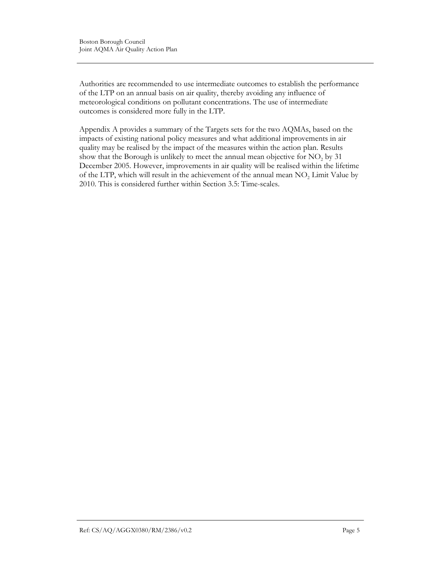Authorities are recommended to use intermediate outcomes to establish the performance of the LTP on an annual basis on air quality, thereby avoiding any influence of meteorological conditions on pollutant concentrations. The use of intermediate outcomes is considered more fully in the LTP.

Appendix A provides a summary of the Targets sets for the two AQMAs, based on the impacts of existing national policy measures and what additional improvements in air quality may be realised by the impact of the measures within the action plan. Results show that the Borough is unlikely to meet the annual mean objective for  $NO<sub>2</sub>$  by 31 December 2005. However, improvements in air quality will be realised within the lifetime of the LTP, which will result in the achievement of the annual mean  $NO<sub>2</sub>$  Limit Value by 2010. This is considered further within Section 3.5: Time-scales.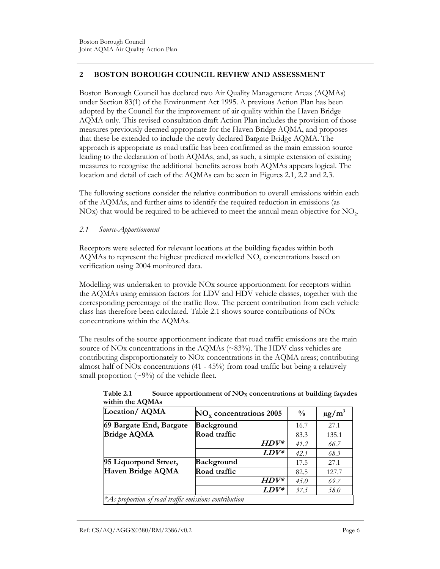# 2 BOSTON BOROUGH COUNCIL REVIEW AND ASSESSMENT

Boston Borough Council has declared two Air Quality Management Areas (AQMAs) under Section 83(1) of the Environment Act 1995. A previous Action Plan has been adopted by the Council for the improvement of air quality within the Haven Bridge AQMA only. This revised consultation draft Action Plan includes the provision of those measures previously deemed appropriate for the Haven Bridge AQMA, and proposes that these be extended to include the newly declared Bargate Bridge AQMA. The approach is appropriate as road traffic has been confirmed as the main emission source leading to the declaration of both AQMAs, and, as such, a simple extension of existing measures to recognise the additional benefits across both AQMAs appears logical. The location and detail of each of the AQMAs can be seen in Figures 2.1, 2.2 and 2.3.

The following sections consider the relative contribution to overall emissions within each of the AQMAs, and further aims to identify the required reduction in emissions (as  $NOx$ ) that would be required to be achieved to meet the annual mean objective for  $NO<sub>2</sub>$ .

2.1 Source-Apportionment

Receptors were selected for relevant locations at the building façades within both  $\rm AQMAS$  to represent the highest predicted modelled  $\rm NO_2$  concentrations based on verification using 2004 monitored data.

Modelling was undertaken to provide NOx source apportionment for receptors within the AQMAs using emission factors for LDV and HDV vehicle classes, together with the corresponding percentage of the traffic flow. The percent contribution from each vehicle class has therefore been calculated. Table 2.1 shows source contributions of NOx concentrations within the AQMAs.

The results of the source apportionment indicate that road traffic emissions are the main source of NO<sub>x</sub> concentrations in the AQMAs (~83%). The HDV class vehicles are contributing disproportionately to NOx concentrations in the AQMA areas; contributing almost half of NOx concentrations (41 - 45%) from road traffic but being a relatively small proportion  $(\sim 9\%)$  of the vehicle fleet.

| Location/AQMA           | $NO_x$ concentrations 2005 | $\frac{0}{0}$ | $\mu$ g/m <sup>3</sup> |
|-------------------------|----------------------------|---------------|------------------------|
| 69 Bargate End, Bargate | <b>Background</b>          | 16.7          | 27.1                   |
| <b>Bridge AQMA</b>      | Road traffic               | 83.3          | 135.1                  |
|                         | $HDV^*$                    | 41.2          | 66.7                   |
|                         | $LDV^*$                    | 42.1          | 68.3                   |
| 95 Liquorpond Street,   | <b>Background</b>          | 17.5          | 27.1                   |
| Haven Bridge AQMA       | Road traffic               | 82.5          | 127.7                  |
|                         | $HDV^*$                    | 45.0          | 69.7                   |
|                         | $LDV^*$                    | 37.5          | 58.0                   |

Table 2.1 Source apportionment of  $NO<sub>x</sub>$  concentrations at building façades within the AQMAs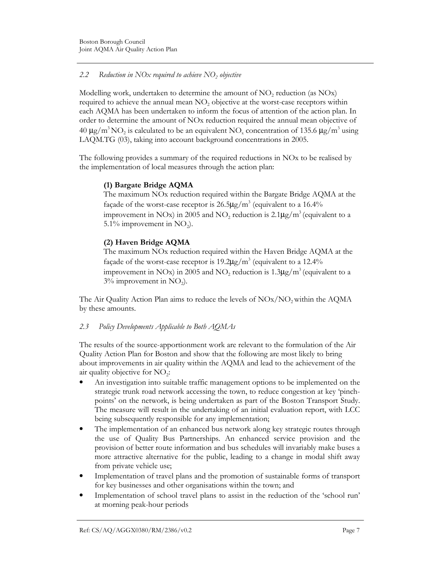# 2.2 Reduction in NOx required to achieve  $\rm NO_2$  objective

Modelling work, undertaken to determine the amount of  $NO<sub>2</sub>$  reduction (as  $NOx)$ ) required to achieve the annual mean  $NO<sub>2</sub>$  objective at the worst-case receptors within each AQMA has been undertaken to inform the focus of attention of the action plan. In order to determine the amount of NOx reduction required the annual mean objective of 40  $\mu$ g/m<sup>3</sup> NO<sub>2</sub> is calculated to be an equivalent NO<sub>x</sub> concentration of 135.6  $\mu$ g/m<sup>3</sup> using LAQM.TG (03), taking into account background concentrations in 2005.

The following provides a summary of the required reductions in NOx to be realised by the implementation of local measures through the action plan:

# (1) Bargate Bridge AQMA

The maximum NOx reduction required within the Bargate Bridge AQMA at the façade of the worst-case receptor is  $26.5 \mu g/m^3$  (equivalent to a 16.4% improvement in NOx) in 2005 and NO<sub>2</sub> reduction is  $2.1 \mu\text{g/m}^3$  (equivalent to a 5.1% improvement in  $NO<sub>2</sub>$ ).

# (2) Haven Bridge AQMA

The maximum NOx reduction required within the Haven Bridge AQMA at the façade of the worst-case receptor is  $19.2 \mu g/m^3$  (equivalent to a 12.4% improvement in NOx) in 2005 and NO<sub>2</sub> reduction is 1.3 $\mu$ g/m<sup>3</sup> (equivalent to a  $3\%$  improvement in NO<sub>2</sub>).

The Air Quality Action Plan aims to reduce the levels of  $NOX/NO_2$  within the AQMA by these amounts.

# 2.3 Policy Developments Applicable to Both AQMAs

The results of the source-apportionment work are relevant to the formulation of the Air Quality Action Plan for Boston and show that the following are most likely to bring about improvements in air quality within the AQMA and lead to the achievement of the air quality objective for  $NO<sub>2</sub>$ :

- An investigation into suitable traffic management options to be implemented on the strategic trunk road network accessing the town, to reduce congestion at key 'pinchpoints' on the network, is being undertaken as part of the Boston Transport Study. The measure will result in the undertaking of an initial evaluation report, with LCC being subsequently responsible for any implementation;
- The implementation of an enhanced bus network along key strategic routes through the use of Quality Bus Partnerships. An enhanced service provision and the provision of better route information and bus schedules will invariably make buses a more attractive alternative for the public, leading to a change in modal shift away from private vehicle use;
- Implementation of travel plans and the promotion of sustainable forms of transport for key businesses and other organisations within the town; and
- Implementation of school travel plans to assist in the reduction of the 'school run' at morning peak-hour periods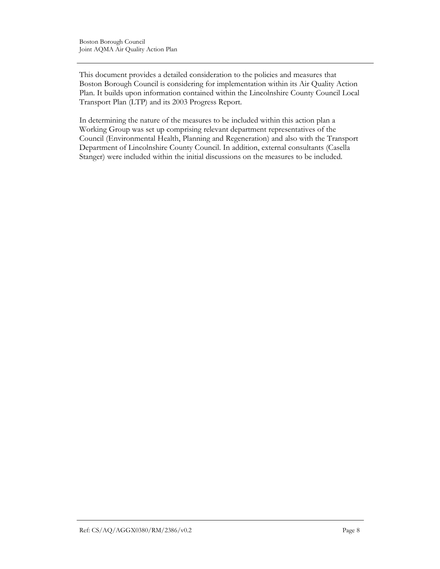This document provides a detailed consideration to the policies and measures that Boston Borough Council is considering for implementation within its Air Quality Action Plan. It builds upon information contained within the Lincolnshire County Council Local Transport Plan (LTP) and its 2003 Progress Report.

In determining the nature of the measures to be included within this action plan a Working Group was set up comprising relevant department representatives of the Council (Environmental Health, Planning and Regeneration) and also with the Transport Department of Lincolnshire County Council. In addition, external consultants (Casella Stanger) were included within the initial discussions on the measures to be included.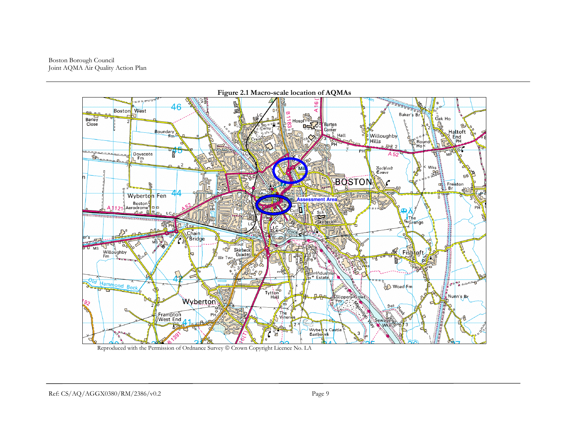Boston Borough Council Joint AQMA Air Quality Action Plan



Reproduced with the Permission of Ordnance Survey  $\circledcirc$  Crown Copyright Licence No. LA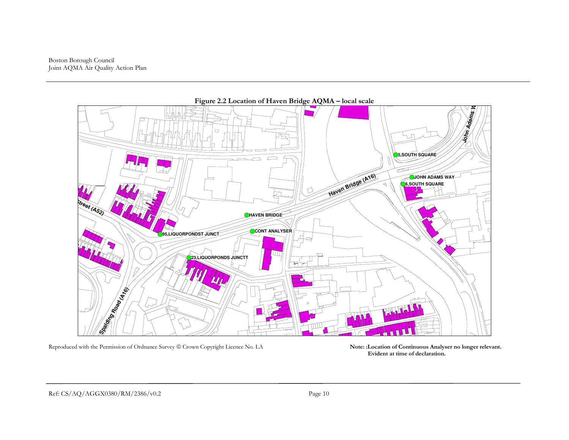Boston Borough Council Joint AQMA Air Quality Action Plan



Reproduced with the Permission of Ordnance Survey © Crown Copyright Licence No. LA Note: :Location of Continuous Analyser no longer relevant.

Evident at time of declaration.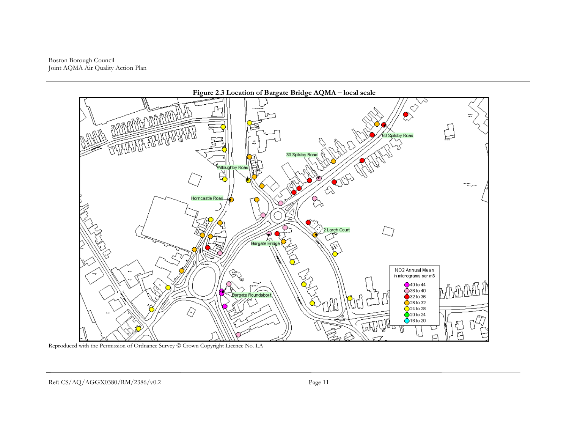Boston Borough Council Joint AQMA Air Quality Action Plan



Reproduced with the Permission of Ordnance Survey  $\circledcirc$  Crown Copyright Licence No. LA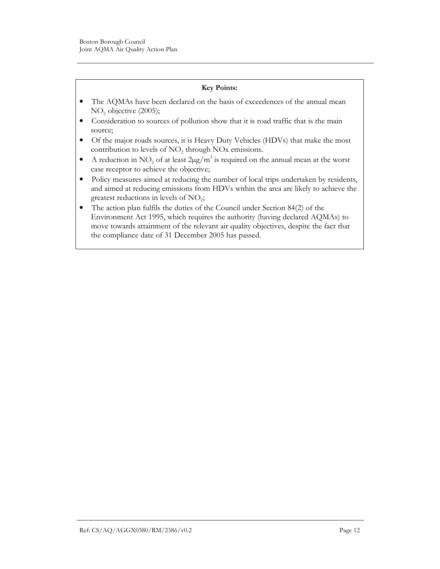#### Key Points:

- The AQMAs have been declared on the basis of exceedences of the annual mean  $NO<sub>2</sub>$  objective (2005);
- Consideration to sources of pollution show that it is road traffic that is the main source;
- Of the major roads sources, it is Heavy Duty Vehicles (HDVs) that make the most contribution to levels of  $NO<sub>2</sub>$  through NOx emissions.
- A reduction in NO<sub>2</sub> of at least  $2\mu g/m^3$  is required on the annual mean at the worst case receptor to achieve the objective;
- Policy measures aimed at reducing the number of local trips undertaken by residents, and aimed at reducing emissions from HDVs within the area are likely to achieve the greatest reductions in levels of  $NO<sub>2</sub>$ ;
- The action plan fulfils the duties of the Council under Section 84(2) of the Environment Act 1995, which requires the authority (having declared AQMAs) to move towards attainment of the relevant air quality objectives, despite the fact that the compliance date of 31 December 2005 has passed.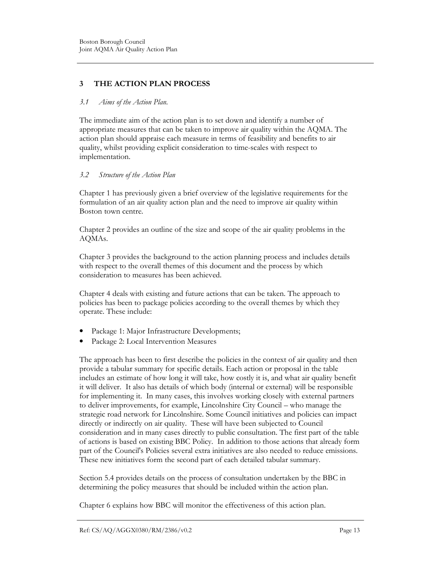# 3 THE ACTION PLAN PROCESS

#### 3.1 Aims of the Action Plan.

The immediate aim of the action plan is to set down and identify a number of appropriate measures that can be taken to improve air quality within the AQMA. The action plan should appraise each measure in terms of feasibility and benefits to air quality, whilst providing explicit consideration to time-scales with respect to implementation.

### 3.2 Structure of the Action Plan

Chapter 1 has previously given a brief overview of the legislative requirements for the formulation of an air quality action plan and the need to improve air quality within Boston town centre.

Chapter 2 provides an outline of the size and scope of the air quality problems in the AQMAs.

Chapter 3 provides the background to the action planning process and includes details with respect to the overall themes of this document and the process by which consideration to measures has been achieved.

Chapter 4 deals with existing and future actions that can be taken. The approach to policies has been to package policies according to the overall themes by which they operate. These include:

- Package 1: Major Infrastructure Developments;
- Package 2: Local Intervention Measures

The approach has been to first describe the policies in the context of air quality and then provide a tabular summary for specific details. Each action or proposal in the table includes an estimate of how long it will take, how costly it is, and what air quality benefit it will deliver. It also has details of which body (internal or external) will be responsible for implementing it. In many cases, this involves working closely with external partners to deliver improvements, for example, Lincolnshire City Council – who manage the strategic road network for Lincolnshire. Some Council initiatives and policies can impact directly or indirectly on air quality. These will have been subjected to Council consideration and in many cases directly to public consultation. The first part of the table of actions is based on existing BBC Policy. In addition to those actions that already form part of the Council's Policies several extra initiatives are also needed to reduce emissions. These new initiatives form the second part of each detailed tabular summary.

Section 5.4 provides details on the process of consultation undertaken by the BBC in determining the policy measures that should be included within the action plan.

Chapter 6 explains how BBC will monitor the effectiveness of this action plan.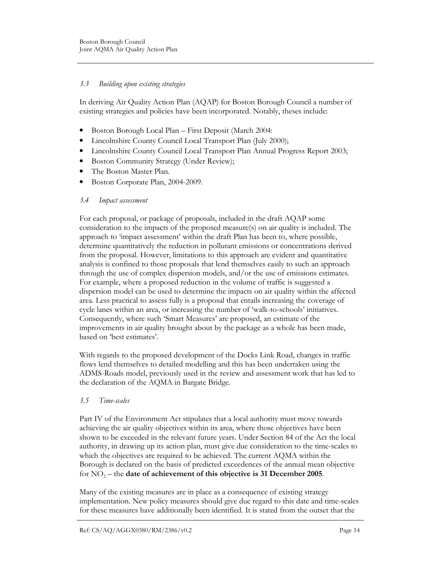### 3.3 Building upon existing strategies

In deriving Air Quality Action Plan (AQAP) for Boston Borough Council a number of existing strategies and policies have been incorporated. Notably, theses include:

- Boston Borough Local Plan First Deposit (March 2004:
- Lincolnshire County Council Local Transport Plan (July 2000);
- Lincolnshire County Council Local Transport Plan Annual Progress Report 2003;
- Boston Community Strategy (Under Review);
- The Boston Master Plan.
- Boston Corporate Plan, 2004-2009.

#### 3.4 Impact assessment

For each proposal, or package of proposals, included in the draft AQAP some consideration to the impacts of the proposed measure(s) on air quality is included. The approach to 'impact assessment' within the draft Plan has been to, where possible, determine quantitatively the reduction in pollutant emissions or concentrations derived from the proposal. However, limitations to this approach are evident and quantitative analysis is confined to those proposals that lend themselves easily to such an approach through the use of complex dispersion models, and/or the use of emissions estimates. For example, where a proposed reduction in the volume of traffic is suggested a dispersion model can be used to determine the impacts on air quality within the affected area. Less practical to assess fully is a proposal that entails increasing the coverage of cycle lanes within an area, or increasing the number of 'walk-to-schools' initiatives. Consequently, where such 'Smart Measures' are proposed, an estimate of the improvements in air quality brought about by the package as a whole has been made, based on 'best estimates'.

With regards to the proposed development of the Docks Link Road, changes in traffic flows lend themselves to detailed modelling and this has been undertaken using the ADMS-Roads model, previously used in the review and assessment work that has led to the declaration of the AQMA in Bargate Bridge.

#### 3.5 Time-scales

Part IV of the Environment Act stipulates that a local authority must move towards achieving the air quality objectives within its area, where those objectives have been shown to be exceeded in the relevant future years. Under Section 84 of the Act the local authority, in drawing up its action plan, must give due consideration to the time-scales to which the objectives are required to be achieved. The current AQMA within the Borough is declared on the basis of predicted exceedences of the annual mean objective for  $NO<sub>2</sub>$  – the date of achievement of this objective is 31 December 2005.

Many of the existing measures are in place as a consequence of existing strategy implementation. New policy measures should give due regard to this date and time-scales for these measures have additionally been identified. It is stated from the outset that the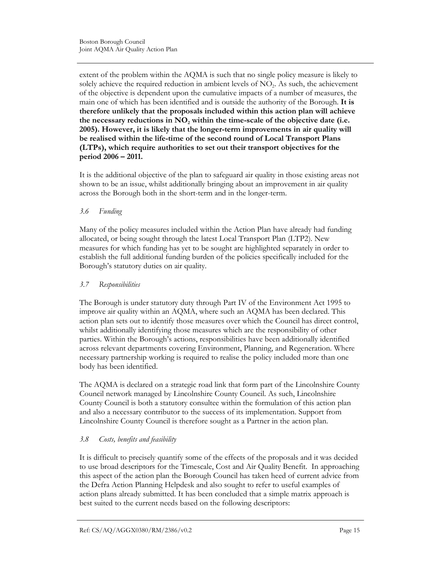extent of the problem within the AQMA is such that no single policy measure is likely to solely achieve the required reduction in ambient levels of  $NO<sub>2</sub>$ . As such, the achievement of the objective is dependent upon the cumulative impacts of a number of measures, the main one of which has been identified and is outside the authority of the Borough. It is therefore unlikely that the proposals included within this action plan will achieve the necessary reductions in  $NO_2$  within the time-scale of the objective date (i.e. 2005). However, it is likely that the longer-term improvements in air quality will be realised within the life-time of the second round of Local Transport Plans (LTPs), which require authorities to set out their transport objectives for the period 2006 – 2011.

It is the additional objective of the plan to safeguard air quality in those existing areas not shown to be an issue, whilst additionally bringing about an improvement in air quality across the Borough both in the short-term and in the longer-term.

### 3.6 Funding

Many of the policy measures included within the Action Plan have already had funding allocated, or being sought through the latest Local Transport Plan (LTP2). New measures for which funding has yet to be sought are highlighted separately in order to establish the full additional funding burden of the policies specifically included for the Borough's statutory duties on air quality.

# 3.7 Responsibilities

The Borough is under statutory duty through Part IV of the Environment Act 1995 to improve air quality within an AQMA, where such an AQMA has been declared. This action plan sets out to identify those measures over which the Council has direct control, whilst additionally identifying those measures which are the responsibility of other parties. Within the Borough's actions, responsibilities have been additionally identified across relevant departments covering Environment, Planning, and Regeneration. Where necessary partnership working is required to realise the policy included more than one body has been identified.

The AQMA is declared on a strategic road link that form part of the Lincolnshire County Council network managed by Lincolnshire County Council. As such, Lincolnshire County Council is both a statutory consultee within the formulation of this action plan and also a necessary contributor to the success of its implementation. Support from Lincolnshire County Council is therefore sought as a Partner in the action plan.

# 3.8 Costs, benefits and feasibility

It is difficult to precisely quantify some of the effects of the proposals and it was decided to use broad descriptors for the Timescale, Cost and Air Quality Benefit. In approaching this aspect of the action plan the Borough Council has taken heed of current advice from the Defra Action Planning Helpdesk and also sought to refer to useful examples of action plans already submitted. It has been concluded that a simple matrix approach is best suited to the current needs based on the following descriptors: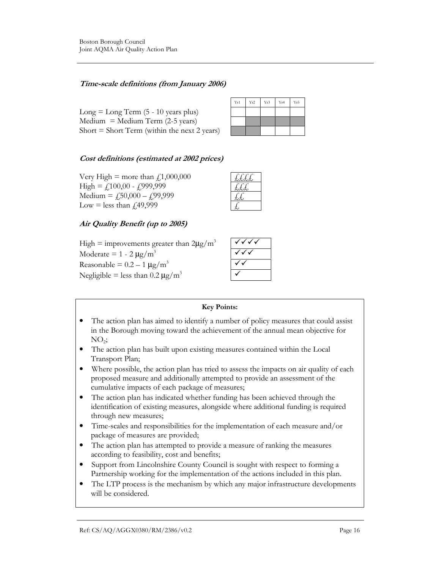# Time-scale definitions (from January 2006)

 $Long = Long Term (5 - 10 years plus)$  $Median = Medium Term (2-5 years)$ Short  $=$  Short Term (within the next 2 years)

| Yr1 | Yr2 | Yr3 | Yr4 | Yr5 |
|-----|-----|-----|-----|-----|
|     |     |     |     |     |
|     |     |     |     |     |
|     |     |     |     |     |

# Cost definitions (estimated at 2002 prices)

Very High = more than  $f$ ,1,000,000 High =  $f100,00 - f999,999$ Medium =  $f_50,000 - f_59,999$ Low = less than  $\text{\textsterling}49,999$ 

| ⊦.<br>٠. |
|----------|
| ÷.       |
|          |
|          |

# Air Quality Benefit (up to 2005)

High = improvements greater than  $2\mu g/m^3$ Moderate =  $1 - 2 \mu g/m^3$ Reasonable =  $0.2 - 1 \mu g/m^3$ Negligible = less than  $0.2 \mu g/m^3$ 

#### Key Points:

- The action plan has aimed to identify a number of policy measures that could assist in the Borough moving toward the achievement of the annual mean objective for  $\mathrm{NO}_2$ ;
- The action plan has built upon existing measures contained within the Local Transport Plan;
- Where possible, the action plan has tried to assess the impacts on air quality of each proposed measure and additionally attempted to provide an assessment of the cumulative impacts of each package of measures;
- The action plan has indicated whether funding has been achieved through the identification of existing measures, alongside where additional funding is required through new measures;
- Time-scales and responsibilities for the implementation of each measure and/or package of measures are provided;
- The action plan has attempted to provide a measure of ranking the measures according to feasibility, cost and benefits;
- Support from Lincolnshire County Council is sought with respect to forming a Partnership working for the implementation of the actions included in this plan.
- The LTP process is the mechanism by which any major infrastructure developments will be considered.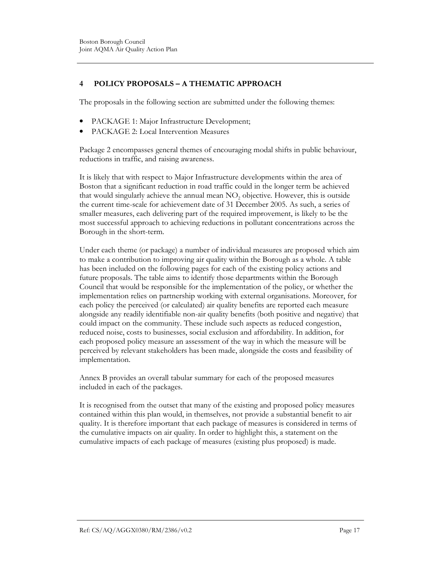# 4 POLICY PROPOSALS – A THEMATIC APPROACH

The proposals in the following section are submitted under the following themes:

- PACKAGE 1: Major Infrastructure Development;
- PACKAGE 2: Local Intervention Measures

Package 2 encompasses general themes of encouraging modal shifts in public behaviour, reductions in traffic, and raising awareness.

It is likely that with respect to Major Infrastructure developments within the area of Boston that a significant reduction in road traffic could in the longer term be achieved that would singularly achieve the annual mean  $NO<sub>2</sub>$  objective. However, this is outside the current time-scale for achievement date of 31 December 2005. As such, a series of smaller measures, each delivering part of the required improvement, is likely to be the most successful approach to achieving reductions in pollutant concentrations across the Borough in the short-term.

Under each theme (or package) a number of individual measures are proposed which aim to make a contribution to improving air quality within the Borough as a whole. A table has been included on the following pages for each of the existing policy actions and future proposals. The table aims to identify those departments within the Borough Council that would be responsible for the implementation of the policy, or whether the implementation relies on partnership working with external organisations. Moreover, for each policy the perceived (or calculated) air quality benefits are reported each measure alongside any readily identifiable non-air quality benefits (both positive and negative) that could impact on the community. These include such aspects as reduced congestion, reduced noise, costs to businesses, social exclusion and affordability. In addition, for each proposed policy measure an assessment of the way in which the measure will be perceived by relevant stakeholders has been made, alongside the costs and feasibility of implementation.

Annex B provides an overall tabular summary for each of the proposed measures included in each of the packages.

It is recognised from the outset that many of the existing and proposed policy measures contained within this plan would, in themselves, not provide a substantial benefit to air quality. It is therefore important that each package of measures is considered in terms of the cumulative impacts on air quality. In order to highlight this, a statement on the cumulative impacts of each package of measures (existing plus proposed) is made.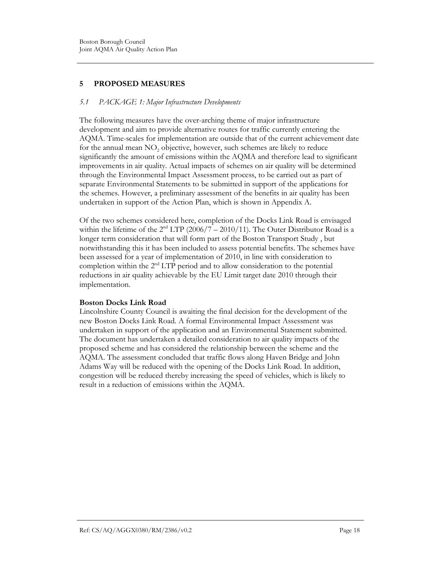# 5 PROPOSED MEASURES

#### 5.1 PACKAGE 1: Major Infrastructure Developments

The following measures have the over-arching theme of major infrastructure development and aim to provide alternative routes for traffic currently entering the AQMA. Time-scales for implementation are outside that of the current achievement date for the annual mean  $NO<sub>2</sub>$  objective, however, such schemes are likely to reduce significantly the amount of emissions within the AQMA and therefore lead to significant improvements in air quality. Actual impacts of schemes on air quality will be determined through the Environmental Impact Assessment process, to be carried out as part of separate Environmental Statements to be submitted in support of the applications for the schemes. However, a preliminary assessment of the benefits in air quality has been undertaken in support of the Action Plan, which is shown in Appendix A.

Of the two schemes considered here, completion of the Docks Link Road is envisaged within the lifetime of the  $2<sup>nd</sup> LTP (2006/7 – 2010/11)$ . The Outer Distributor Road is a longer term consideration that will form part of the Boston Transport Study , but notwithstanding this it has been included to assess potential benefits. The schemes have been assessed for a year of implementation of 2010, in line with consideration to completion within the  $2<sup>nd</sup> LTP$  period and to allow consideration to the potential reductions in air quality achievable by the EU Limit target date 2010 through their implementation.

#### Boston Docks Link Road

Lincolnshire County Council is awaiting the final decision for the development of the new Boston Docks Link Road. A formal Environmental Impact Assessment was undertaken in support of the application and an Environmental Statement submitted. The document has undertaken a detailed consideration to air quality impacts of the proposed scheme and has considered the relationship between the scheme and the AQMA. The assessment concluded that traffic flows along Haven Bridge and John Adams Way will be reduced with the opening of the Docks Link Road. In addition, congestion will be reduced thereby increasing the speed of vehicles, which is likely to result in a reduction of emissions within the AQMA.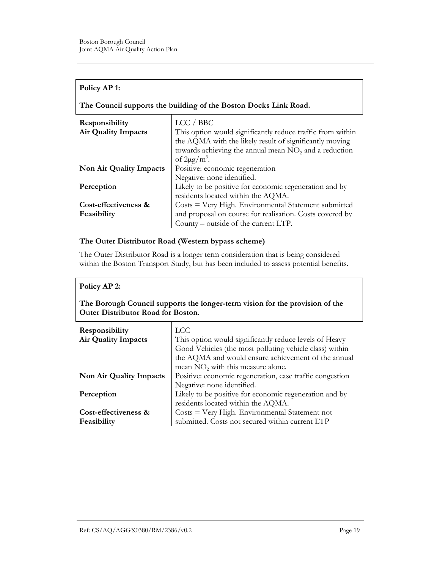#### Policy AP 1:

The Council supports the building of the Boston Docks Link Road.

| Responsibility             | LCC / BBC                                                         |
|----------------------------|-------------------------------------------------------------------|
| <b>Air Quality Impacts</b> | This option would significantly reduce traffic from within        |
|                            | the AQMA with the likely result of significantly moving           |
|                            | towards achieving the annual mean NO <sub>2</sub> and a reduction |
|                            | of $2\mu$ g/m <sup>3</sup> .                                      |
| Non Air Quality Impacts    | Positive: economic regeneration                                   |
|                            | Negative: none identified.                                        |
| Perception                 | Likely to be positive for economic regeneration and by            |
|                            | residents located within the AQMA.                                |
| Cost-effectiveness &       | Costs = Very High. Environmental Statement submitted              |
| Feasibility                | and proposal on course for realisation. Costs covered by          |
|                            | County – outside of the current LTP.                              |

#### The Outer Distributor Road (Western bypass scheme)

The Outer Distributor Road is a longer term consideration that is being considered within the Boston Transport Study, but has been included to assess potential benefits.

#### Policy AP 2:

### The Borough Council supports the longer-term vision for the provision of the Outer Distributor Road for Boston.

| <b>Responsibility</b><br><b>Air Quality Impacts</b> | <b>LCC</b><br>This option would significantly reduce levels of Heavy<br>Good Vehicles (the most polluting vehicle class) within<br>the AQMA and would ensure achievement of the annual<br>mean NO <sub>2</sub> with this measure alone. |
|-----------------------------------------------------|-----------------------------------------------------------------------------------------------------------------------------------------------------------------------------------------------------------------------------------------|
| Non Air Quality Impacts                             | Positive: economic regeneration, ease traffic congestion<br>Negative: none identified.                                                                                                                                                  |
| Perception                                          | Likely to be positive for economic regeneration and by<br>residents located within the AQMA.                                                                                                                                            |
| Cost-effectiveness &<br>Feasibility                 | Costs = Very High. Environmental Statement not<br>submitted. Costs not secured within current LTP                                                                                                                                       |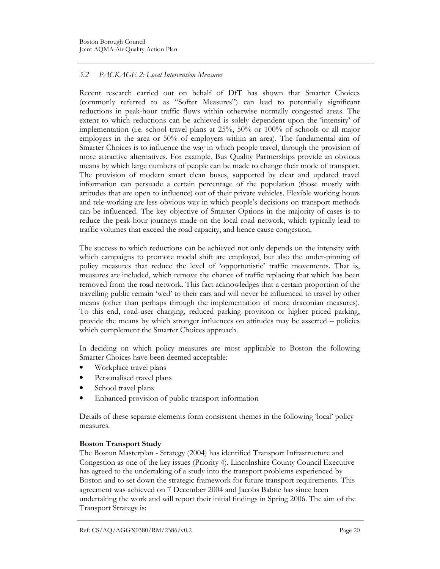# 5.2 PACKAGE 2: Local Intervention Measures

Recent research carried out on behalf of DfT has shown that Smarter Choices (commonly referred to as "Softer Measures") can lead to potentially significant reductions in peak-hour traffic flows within otherwise normally congested areas. The extent to which reductions can be achieved is solely dependent upon the 'intensity' of implementation (i.e. school travel plans at 25%, 50% or 100% of schools or all major employers in the area or 50% of employers within an area). The fundamental aim of Smarter Choices is to influence the way in which people travel, through the provision of more attractive alternatives. For example, Bus Quality Partnerships provide an obvious means by which large numbers of people can be made to change their mode of transport. The provision of modern smart clean buses, supported by clear and updated travel information can persuade a certain percentage of the population (those mostly with attitudes that are open to influence) out of their private vehicles. Flexible working hours and tele-working are less obvious way in which people's decisions on transport methods can be influenced. The key objective of Smarter Options in the majority of cases is to reduce the peak-hour journeys made on the local road network, which typically lead to traffic volumes that exceed the road capacity, and hence cause congestion.

The success to which reductions can be achieved not only depends on the intensity with which campaigns to promote modal shift are employed, but also the under-pinning of policy measures that reduce the level of 'opportunistic' traffic movements. That is, measures are included, which remove the chance of traffic replacing that which has been removed from the road network. This fact acknowledges that a certain proportion of the travelling public remain 'wed' to their cars and will never be influenced to travel by other means (other than perhaps through the implementation of more draconian measures). To this end, road-user charging, reduced parking provision or higher priced parking, provide the means by which stronger influences on attitudes may be asserted – policies which complement the Smarter Choices approach.

In deciding on which policy measures are most applicable to Boston the following Smarter Choices have been deemed acceptable:

- Workplace travel plans
- Personalised travel plans
- School travel plans
- Enhanced provision of public transport information

Details of these separate elements form consistent themes in the following 'local' policy measures.

# Boston Transport Study

The Boston Masterplan - Strategy (2004) has identified Transport Infrastructure and Congestion as one of the key issues (Priority 4). Lincolnshire County Council Executive has agreed to the undertaking of a study into the transport problems experienced by Boston and to set down the strategic framework for future transport requirements. This agreement was achieved on 7 December 2004 and Jacobs Babtie has since been undertaking the work and will report their initial findings in Spring 2006. The aim of the Transport Strategy is: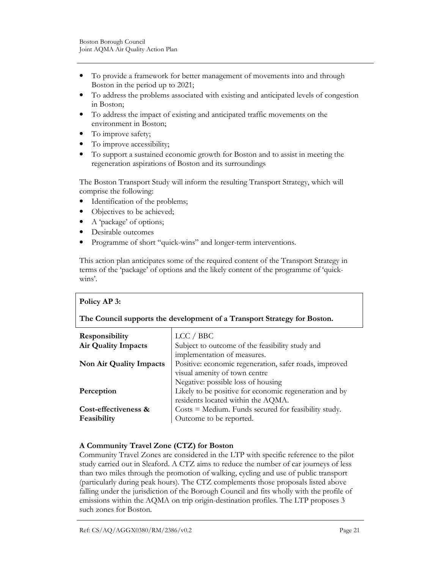- To provide a framework for better management of movements into and through Boston in the period up to 2021;
- To address the problems associated with existing and anticipated levels of congestion in Boston;
- To address the impact of existing and anticipated traffic movements on the environment in Boston;
- To improve safety;
- To improve accessibility;
- To support a sustained economic growth for Boston and to assist in meeting the regeneration aspirations of Boston and its surroundings

The Boston Transport Study will inform the resulting Transport Strategy, which will comprise the following:

- Identification of the problems;
- Objectives to be achieved;
- A 'package' of options;
- Desirable outcomes
- Programme of short "quick-wins" and longer-term interventions.

This action plan anticipates some of the required content of the Transport Strategy in terms of the 'package' of options and the likely content of the programme of 'quickwins'.

#### Policy AP 3:

#### The Council supports the development of a Transport Strategy for Boston.

| <b>Responsibility</b>      | LCC / BBC                                                                                                                          |
|----------------------------|------------------------------------------------------------------------------------------------------------------------------------|
| <b>Air Quality Impacts</b> | Subject to outcome of the feasibility study and                                                                                    |
| Non Air Quality Impacts    | implementation of measures.<br>Positive: economic regeneration, safer roads, improved<br>visual amenity of town centre             |
| Perception                 | Negative: possible loss of housing<br>Likely to be positive for economic regeneration and by<br>residents located within the AQMA. |
| Cost-effectiveness &       | $\text{Costs} = \text{Median}$ . Funds secured for feasibility study.                                                              |
| Feasibility                | Outcome to be reported.                                                                                                            |

#### A Community Travel Zone (CTZ) for Boston

Community Travel Zones are considered in the LTP with specific reference to the pilot study carried out in Sleaford. A CTZ aims to reduce the number of car journeys of less than two miles through the promotion of walking, cycling and use of public transport (particularly during peak hours). The CTZ complements those proposals listed above falling under the jurisdiction of the Borough Council and fits wholly with the profile of emissions within the AQMA on trip origin-destination profiles. The LTP proposes 3 such zones for Boston.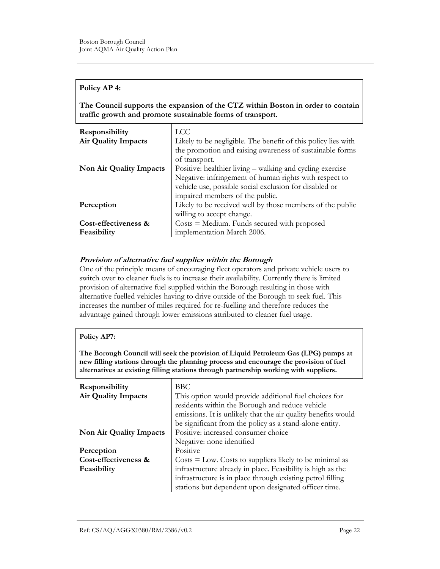#### Policy AP 4:

The Council supports the expansion of the CTZ within Boston in order to contain traffic growth and promote sustainable forms of transport.

| Responsibility             | <b>LCC</b>                                                    |
|----------------------------|---------------------------------------------------------------|
| <b>Air Quality Impacts</b> | Likely to be negligible. The benefit of this policy lies with |
|                            | the promotion and raising awareness of sustainable forms      |
|                            | of transport.                                                 |
| Non Air Quality Impacts    | Positive: healthier living – walking and cycling exercise     |
|                            | Negative: infringement of human rights with respect to        |
|                            | vehicle use, possible social exclusion for disabled or        |
|                            | impaired members of the public.                               |
| Perception                 | Likely to be received well by those members of the public     |
|                            | willing to accept change.                                     |
| Cost-effectiveness &       | $\text{Costs} = \text{Median}$ . Funds secured with proposed  |
| Feasibility                | implementation March 2006.                                    |

#### Provision of alternative fuel supplies within the Borough

One of the principle means of encouraging fleet operators and private vehicle users to switch over to cleaner fuels is to increase their availability. Currently there is limited provision of alternative fuel supplied within the Borough resulting in those with alternative fuelled vehicles having to drive outside of the Borough to seek fuel. This increases the number of miles required for re-fuelling and therefore reduces the advantage gained through lower emissions attributed to cleaner fuel usage.

| Policy AP7:                                                                                                                                                                                                                                                          |                                                                          |  |  |
|----------------------------------------------------------------------------------------------------------------------------------------------------------------------------------------------------------------------------------------------------------------------|--------------------------------------------------------------------------|--|--|
| The Borough Council will seek the provision of Liquid Petroleum Gas (LPG) pumps at<br>new filling stations through the planning process and encourage the provision of fuel<br>alternatives at existing filling stations through partnership working with suppliers. |                                                                          |  |  |
| <b>Responsibility</b>                                                                                                                                                                                                                                                | <b>BBC</b>                                                               |  |  |
| <b>Air Quality Impacts</b>                                                                                                                                                                                                                                           | This option would provide additional fuel choices for                    |  |  |
|                                                                                                                                                                                                                                                                      | residents within the Borough and reduce vehicle                          |  |  |
|                                                                                                                                                                                                                                                                      | emissions. It is unlikely that the air quality benefits would            |  |  |
|                                                                                                                                                                                                                                                                      | be significant from the policy as a stand-alone entity.                  |  |  |
| Non Air Quality Impacts                                                                                                                                                                                                                                              | Positive: increased consumer choice                                      |  |  |
|                                                                                                                                                                                                                                                                      | Negative: none identified                                                |  |  |
| Perception                                                                                                                                                                                                                                                           | Positive                                                                 |  |  |
| Cost-effectiveness &                                                                                                                                                                                                                                                 | $\text{Costs} = \text{Low}$ . Costs to suppliers likely to be minimal as |  |  |
| Feasibility                                                                                                                                                                                                                                                          | infrastructure already in place. Feasibility is high as the              |  |  |
|                                                                                                                                                                                                                                                                      | infrastructure is in place through existing petrol filling               |  |  |
|                                                                                                                                                                                                                                                                      | stations but dependent upon designated officer time.                     |  |  |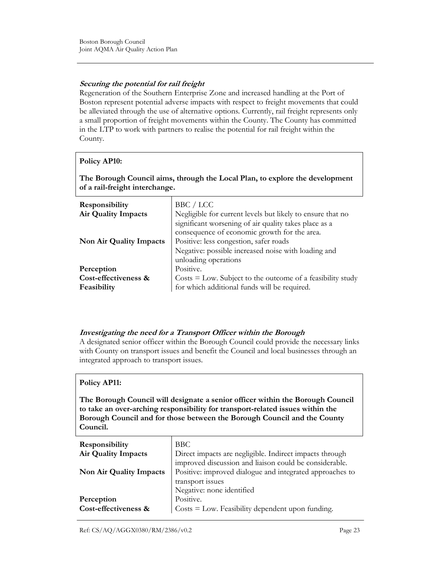# Securing the potential for rail freight

Regeneration of the Southern Enterprise Zone and increased handling at the Port of Boston represent potential adverse impacts with respect to freight movements that could be alleviated through the use of alternative options. Currently, rail freight represents only a small proportion of freight movements within the County. The County has committed in the LTP to work with partners to realise the potential for rail freight within the County.

### Policy AP10:

The Borough Council aims, through the Local Plan, to explore the development of a rail-freight interchange.

| Responsibility<br><b>Air Quality Impacts</b>      | BBC / LCC<br>Negligible for current levels but likely to ensure that no<br>significant worsening of air quality takes place as a<br>consequence of economic growth for the area. |
|---------------------------------------------------|----------------------------------------------------------------------------------------------------------------------------------------------------------------------------------|
| Non Air Quality Impacts                           | Positive: less congestion, safer roads<br>Negative: possible increased noise with loading and<br>unloading operations                                                            |
| Perception<br>Cost-effectiveness &<br>Feasibility | Positive.<br>$\text{Costs} = \text{Low}$ . Subject to the outcome of a feasibility study<br>for which additional funds will be required.                                         |

#### Investigating the need for a Transport Officer within the Borough

A designated senior officer within the Borough Council could provide the necessary links with County on transport issues and benefit the Council and local businesses through an integrated approach to transport issues.

#### Policy AP11:

The Borough Council will designate a senior officer within the Borough Council to take an over-arching responsibility for transport-related issues within the Borough Council and for those between the Borough Council and the County Council.

| Responsibility<br><b>Air Quality Impacts</b> | <b>BBC</b><br>Direct impacts are negligible. Indirect impacts through<br>improved discussion and liaison could be considerable. |
|----------------------------------------------|---------------------------------------------------------------------------------------------------------------------------------|
| Non Air Quality Impacts                      | Positive: improved dialogue and integrated approaches to<br>transport issues                                                    |
| Perception<br>Cost-effectiveness &           | Negative: none identified<br>Positive.<br>$\cos t = \cos t$ . Feasibility dependent upon funding.                               |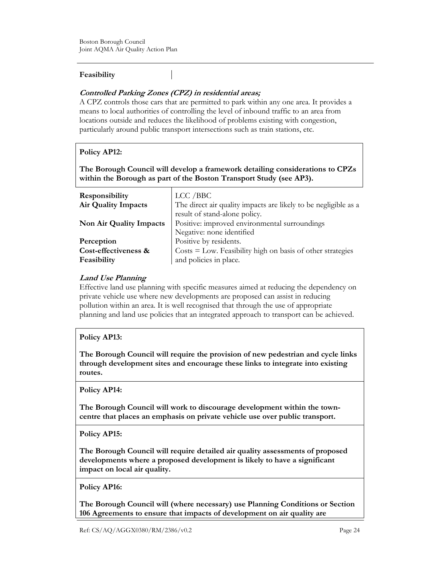#### Feasibility

# Controlled Parking Zones (CPZ) in residential areas;

A CPZ controls those cars that are permitted to park within any one area. It provides a means to local authorities of controlling the level of inbound traffic to an area from locations outside and reduces the likelihood of problems existing with congestion, particularly around public transport intersections such as train stations, etc.

# Policy AP12:

The Borough Council will develop a framework detailing considerations to CPZs within the Borough as part of the Boston Transport Study (see AP3).

| LCC / BBC<br>The direct air quality impacts are likely to be negligible as a<br>result of stand-alone policy.  |
|----------------------------------------------------------------------------------------------------------------|
| Positive: improved environmental surroundings<br>Negative: none identified                                     |
| Positive by residents.<br>Costs = Low. Feasibility high on basis of other strategies<br>and policies in place. |
|                                                                                                                |

### Land Use Planning

Effective land use planning with specific measures aimed at reducing the dependency on private vehicle use where new developments are proposed can assist in reducing pollution within an area. It is well recognised that through the use of appropriate planning and land use policies that an integrated approach to transport can be achieved.

# Policy AP13:

The Borough Council will require the provision of new pedestrian and cycle links through development sites and encourage these links to integrate into existing routes.

Policy AP14:

The Borough Council will work to discourage development within the towncentre that places an emphasis on private vehicle use over public transport.

#### Policy AP15:

The Borough Council will require detailed air quality assessments of proposed developments where a proposed development is likely to have a significant impact on local air quality.

Policy AP16:

The Borough Council will (where necessary) use Planning Conditions or Section 106 Agreements to ensure that impacts of development on air quality are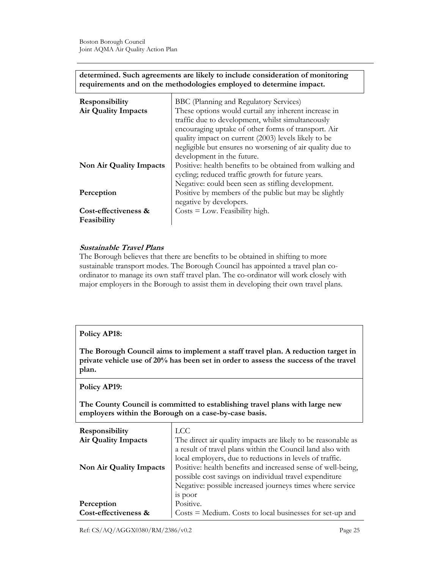| determined. Such agreements are likely to include consideration of monitoring |
|-------------------------------------------------------------------------------|
| requirements and on the methodologies employed to determine impact.           |

| Responsibility<br><b>Air Quality Impacts</b> | BBC (Planning and Regulatory Services)<br>These options would curtail any inherent increase in<br>traffic due to development, whilst simultaneously<br>encouraging uptake of other forms of transport. Air<br>quality impact on current (2003) levels likely to be<br>negligible but ensures no worsening of air quality due to |
|----------------------------------------------|---------------------------------------------------------------------------------------------------------------------------------------------------------------------------------------------------------------------------------------------------------------------------------------------------------------------------------|
| <b>Non Air Quality Impacts</b>               | development in the future.<br>Positive: health benefits to be obtained from walking and<br>cycling; reduced traffic growth for future years.<br>Negative: could been seen as stifling development.                                                                                                                              |
| Perception                                   | Positive by members of the public but may be slightly<br>negative by developers.                                                                                                                                                                                                                                                |
| Cost-effectiveness &<br>Feasibility          | $\text{Costs} = \text{Low}$ . Feasibility high.                                                                                                                                                                                                                                                                                 |

### Sustainable Travel Plans

The Borough believes that there are benefits to be obtained in shifting to more sustainable transport modes. The Borough Council has appointed a travel plan coordinator to manage its own staff travel plan. The co-ordinator will work closely with major employers in the Borough to assist them in developing their own travel plans.

#### Policy AP18:

The Borough Council aims to implement a staff travel plan. A reduction target in private vehicle use of 20% has been set in order to assess the success of the travel plan.

#### Policy AP19:

The County Council is committed to establishing travel plans with large new employers within the Borough on a case-by-case basis.

| Responsibility<br>Air Quality Impacts | <b>LCC</b><br>The direct air quality impacts are likely to be reasonable as<br>a result of travel plans within the Council land also with<br>local employers, due to reductions in levels of traffic. |
|---------------------------------------|-------------------------------------------------------------------------------------------------------------------------------------------------------------------------------------------------------|
| Non Air Quality Impacts               | Positive: health benefits and increased sense of well-being,<br>possible cost savings on individual travel expenditure<br>Negative: possible increased journeys times where service<br>18 poor        |
| Perception                            | Positive.                                                                                                                                                                                             |
| Cost-effectiveness &                  | $\text{Costs} = \text{Median}$ . Costs to local businesses for set-up and                                                                                                                             |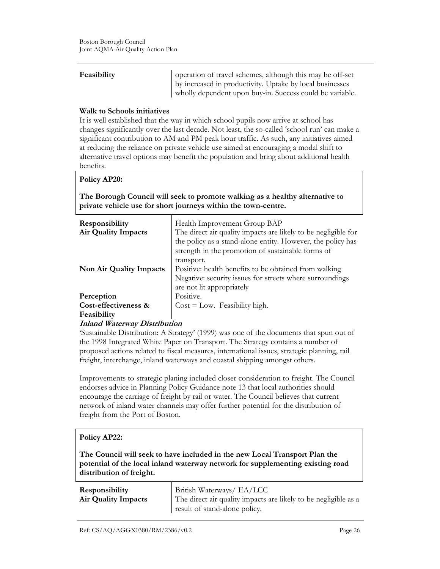**Feasibility** operation of travel schemes, although this may be off-set by increased in productivity. Uptake by local businesses wholly dependent upon buy-in. Success could be variable.

#### Walk to Schools initiatives

It is well established that the way in which school pupils now arrive at school has changes significantly over the last decade. Not least, the so-called 'school run' can make a significant contribution to AM and PM peak hour traffic. As such, any initiatives aimed at reducing the reliance on private vehicle use aimed at encouraging a modal shift to alternative travel options may benefit the population and bring about additional health benefits.

#### Policy AP20:

The Borough Council will seek to promote walking as a healthy alternative to private vehicle use for short journeys within the town-centre.

| <b>Responsibility</b><br><b>Air Quality Impacts</b> | Health Improvement Group BAP<br>The direct air quality impacts are likely to be negligible for<br>the policy as a stand-alone entity. However, the policy has<br>strength in the promotion of sustainable forms of |
|-----------------------------------------------------|--------------------------------------------------------------------------------------------------------------------------------------------------------------------------------------------------------------------|
| <b>Non Air Quality Impacts</b>                      | transport.<br>Positive: health benefits to be obtained from walking<br>Negative: security issues for streets where surroundings<br>are not lit appropriately                                                       |
| Perception                                          | Positive.                                                                                                                                                                                                          |
| Cost-effectiveness &<br>Feasibility                 | $Cost = Low$ . Feasibility high.                                                                                                                                                                                   |

#### Inland Waterway Distribution

'Sustainable Distribution: A Strategy' (1999) was one of the documents that spun out of the 1998 Integrated White Paper on Transport. The Strategy contains a number of proposed actions related to fiscal measures, international issues, strategic planning, rail freight, interchange, inland waterways and coastal shipping amongst others.

Improvements to strategic planing included closer consideration to freight. The Council endorses advice in Planning Policy Guidance note 13 that local authorities should encourage the carriage of freight by rail or water. The Council believes that current network of inland water channels may offer further potential for the distribution of freight from the Port of Boston.

#### Policy AP22:

The Council will seek to have included in the new Local Transport Plan the potential of the local inland waterway network for supplementing existing road distribution of freight.

| Responsibility      | British Waterways/ EA/LCC                                       |
|---------------------|-----------------------------------------------------------------|
| Air Quality Impacts | The direct air quality impacts are likely to be negligible as a |
|                     | result of stand-alone policy.                                   |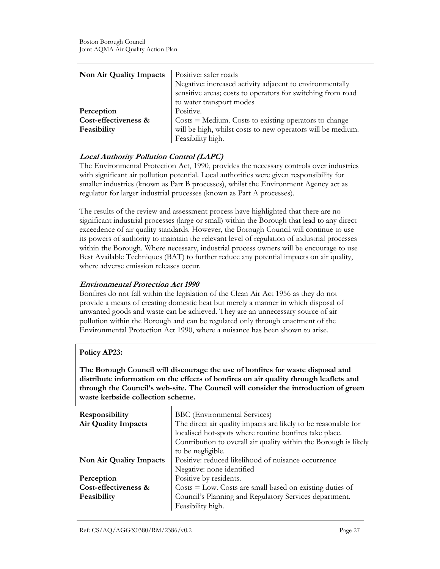| Non Air Quality Impacts             | Positive: safer roads<br>Negative: increased activity adjacent to environmentally<br>sensitive areas; costs to operators for switching from road           |
|-------------------------------------|------------------------------------------------------------------------------------------------------------------------------------------------------------|
| Perception                          | to water transport modes<br>Positive.                                                                                                                      |
| Cost-effectiveness &<br>Feasibility | $\text{Costs} = \text{Median}$ . Costs to existing operators to change<br>will be high, whilst costs to new operators will be medium.<br>Feasibility high. |

# Local Authority Pollution Control (LAPC)

The Environmental Protection Act, 1990, provides the necessary controls over industries with significant air pollution potential. Local authorities were given responsibility for smaller industries (known as Part B processes), whilst the Environment Agency act as regulator for larger industrial processes (known as Part A processes).

The results of the review and assessment process have highlighted that there are no significant industrial processes (large or small) within the Borough that lead to any direct exceedence of air quality standards. However, the Borough Council will continue to use its powers of authority to maintain the relevant level of regulation of industrial processes within the Borough. Where necessary, industrial process owners will be encourage to use Best Available Techniques (BAT) to further reduce any potential impacts on air quality, where adverse emission releases occur.

#### Environmental Protection Act 1990

Bonfires do not fall within the legislation of the Clean Air Act 1956 as they do not provide a means of creating domestic heat but merely a manner in which disposal of unwanted goods and waste can be achieved. They are an unnecessary source of air pollution within the Borough and can be regulated only through enactment of the Environmental Protection Act 1990, where a nuisance has been shown to arise.

#### Policy AP23:

The Borough Council will discourage the use of bonfires for waste disposal and distribute information on the effects of bonfires on air quality through leaflets and through the Council's web-site. The Council will consider the introduction of green waste kerbside collection scheme.

| Responsibility             | <b>BBC</b> (Environmental Services)                                       |
|----------------------------|---------------------------------------------------------------------------|
| <b>Air Quality Impacts</b> | The direct air quality impacts are likely to be reasonable for            |
|                            | localised hot-spots where routine bonfires take place.                    |
|                            | Contribution to overall air quality within the Borough is likely          |
|                            | to be negligible.                                                         |
| Non Air Quality Impacts    | Positive: reduced likelihood of nuisance occurrence                       |
|                            | Negative: none identified                                                 |
| Perception                 | Positive by residents.                                                    |
| Cost-effectiveness &       | $\text{Costs} = \text{Low}$ . Costs are small based on existing duties of |
| Feasibility                | Council's Planning and Regulatory Services department.                    |
|                            | Feasibility high.                                                         |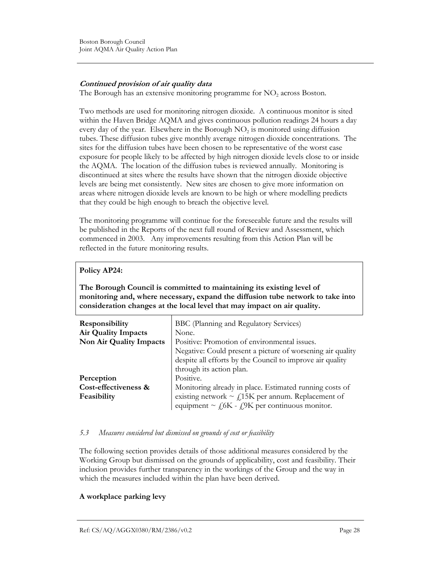### Continued provision of air quality data

The Borough has an extensive monitoring programme for  $NO<sub>2</sub>$  across Boston.

Two methods are used for monitoring nitrogen dioxide. A continuous monitor is sited within the Haven Bridge AQMA and gives continuous pollution readings 24 hours a day every day of the year. Elsewhere in the Borough  $NO<sub>2</sub>$  is monitored using diffusion tubes. These diffusion tubes give monthly average nitrogen dioxide concentrations. The sites for the diffusion tubes have been chosen to be representative of the worst case exposure for people likely to be affected by high nitrogen dioxide levels close to or inside the AQMA. The location of the diffusion tubes is reviewed annually. Monitoring is discontinued at sites where the results have shown that the nitrogen dioxide objective levels are being met consistently. New sites are chosen to give more information on areas where nitrogen dioxide levels are known to be high or where modelling predicts that they could be high enough to breach the objective level.

The monitoring programme will continue for the foreseeable future and the results will be published in the Reports of the next full round of Review and Assessment, which commenced in 2003. Any improvements resulting from this Action Plan will be reflected in the future monitoring results.

### Policy AP24:

The Borough Council is committed to maintaining its existing level of monitoring and, where necessary, expand the diffusion tube network to take into consideration changes at the local level that may impact on air quality.

| Responsibility             | BBC (Planning and Regulatory Services)                      |
|----------------------------|-------------------------------------------------------------|
| <b>Air Quality Impacts</b> | None.                                                       |
| Non Air Quality Impacts    | Positive: Promotion of environmental issues.                |
|                            | Negative: Could present a picture of worsening air quality  |
|                            | despite all efforts by the Council to improve air quality   |
|                            | through its action plan.                                    |
| Perception                 | Positive.                                                   |
| Cost-effectiveness &       | Monitoring already in place. Estimated running costs of     |
| Feasibility                | existing network $\sim$ £15K per annum. Replacement of      |
|                            | equipment $\sim$ $f_0$ K - $f_1$ 9K per continuous monitor. |

#### 5.3 Measures considered but dismissed on grounds of cost or feasibility

The following section provides details of those additional measures considered by the Working Group but dismissed on the grounds of applicability, cost and feasibility. Their inclusion provides further transparency in the workings of the Group and the way in which the measures included within the plan have been derived.

#### A workplace parking levy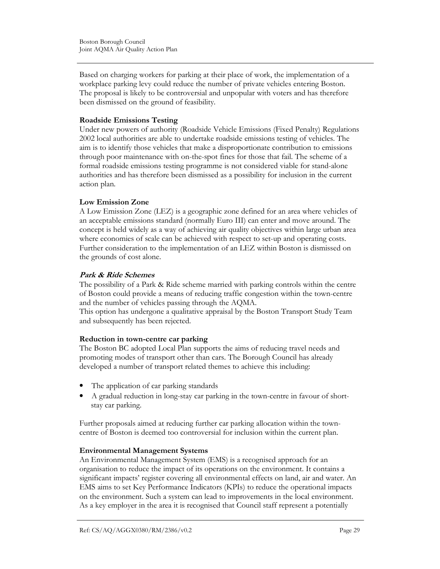Based on charging workers for parking at their place of work, the implementation of a workplace parking levy could reduce the number of private vehicles entering Boston. The proposal is likely to be controversial and unpopular with voters and has therefore been dismissed on the ground of feasibility.

#### Roadside Emissions Testing

Under new powers of authority (Roadside Vehicle Emissions (Fixed Penalty) Regulations 2002 local authorities are able to undertake roadside emissions testing of vehicles. The aim is to identify those vehicles that make a disproportionate contribution to emissions through poor maintenance with on-the-spot fines for those that fail. The scheme of a formal roadside emissions testing programme is not considered viable for stand-alone authorities and has therefore been dismissed as a possibility for inclusion in the current action plan.

### Low Emission Zone

A Low Emission Zone (LEZ) is a geographic zone defined for an area where vehicles of an acceptable emissions standard (normally Euro III) can enter and move around. The concept is held widely as a way of achieving air quality objectives within large urban area where economies of scale can be achieved with respect to set-up and operating costs. Further consideration to the implementation of an LEZ within Boston is dismissed on the grounds of cost alone.

### Park & Ride Schemes

The possibility of a Park & Ride scheme married with parking controls within the centre of Boston could provide a means of reducing traffic congestion within the town-centre and the number of vehicles passing through the AQMA.

This option has undergone a qualitative appraisal by the Boston Transport Study Team and subsequently has been rejected.

# Reduction in town-centre car parking

The Boston BC adopted Local Plan supports the aims of reducing travel needs and promoting modes of transport other than cars. The Borough Council has already developed a number of transport related themes to achieve this including:

- The application of car parking standards
- A gradual reduction in long-stay car parking in the town-centre in favour of shortstay car parking.

Further proposals aimed at reducing further car parking allocation within the towncentre of Boston is deemed too controversial for inclusion within the current plan.

#### Environmental Management Systems

An Environmental Management System (EMS) is a recognised approach for an organisation to reduce the impact of its operations on the environment. It contains a significant impacts' register covering all environmental effects on land, air and water. An EMS aims to set Key Performance Indicators (KPIs) to reduce the operational impacts on the environment. Such a system can lead to improvements in the local environment. As a key employer in the area it is recognised that Council staff represent a potentially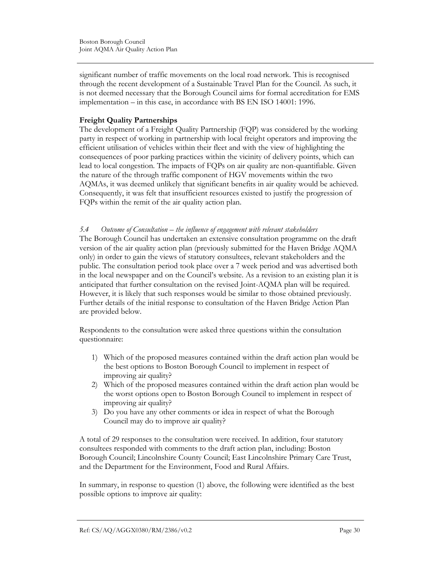significant number of traffic movements on the local road network. This is recognised through the recent development of a Sustainable Travel Plan for the Council. As such, it is not deemed necessary that the Borough Council aims for formal accreditation for EMS implementation – in this case, in accordance with BS EN ISO 14001: 1996.

### Freight Quality Partnerships

The development of a Freight Quality Partnership (FQP) was considered by the working party in respect of working in partnership with local freight operators and improving the efficient utilisation of vehicles within their fleet and with the view of highlighting the consequences of poor parking practices within the vicinity of delivery points, which can lead to local congestion. The impacts of FQPs on air quality are non-quantifiable. Given the nature of the through traffic component of HGV movements within the two AQMAs, it was deemed unlikely that significant benefits in air quality would be achieved. Consequently, it was felt that insufficient resources existed to justify the progression of FQPs within the remit of the air quality action plan.

#### 5.4 Outcome of Consultation – the influence of engagement with relevant stakeholders

The Borough Council has undertaken an extensive consultation programme on the draft version of the air quality action plan (previously submitted for the Haven Bridge AQMA only) in order to gain the views of statutory consultees, relevant stakeholders and the public. The consultation period took place over a 7 week period and was advertised both in the local newspaper and on the Council's website. As a revision to an existing plan it is anticipated that further consultation on the revised Joint-AQMA plan will be required. However, it is likely that such responses would be similar to those obtained previously. Further details of the initial response to consultation of the Haven Bridge Action Plan are provided below.

Respondents to the consultation were asked three questions within the consultation questionnaire:

- 1) Which of the proposed measures contained within the draft action plan would be the best options to Boston Borough Council to implement in respect of improving air quality?
- 2) Which of the proposed measures contained within the draft action plan would be the worst options open to Boston Borough Council to implement in respect of improving air quality?
- 3) Do you have any other comments or idea in respect of what the Borough Council may do to improve air quality?

A total of 29 responses to the consultation were received. In addition, four statutory consultees responded with comments to the draft action plan, including: Boston Borough Council; Lincolnshire County Council; East Lincolnshire Primary Care Trust, and the Department for the Environment, Food and Rural Affairs.

In summary, in response to question (1) above, the following were identified as the best possible options to improve air quality: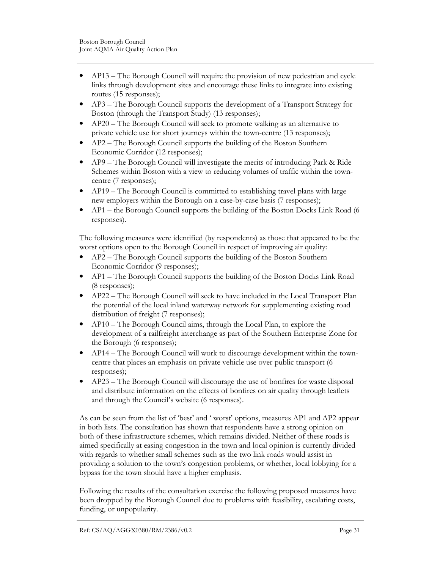- AP13 The Borough Council will require the provision of new pedestrian and cycle links through development sites and encourage these links to integrate into existing routes (15 responses);
- AP3 The Borough Council supports the development of a Transport Strategy for Boston (through the Transport Study) (13 responses);
- AP20 The Borough Council will seek to promote walking as an alternative to private vehicle use for short journeys within the town-centre (13 responses);
- AP2 The Borough Council supports the building of the Boston Southern Economic Corridor (12 responses);
- AP9 The Borough Council will investigate the merits of introducing Park & Ride Schemes within Boston with a view to reducing volumes of traffic within the towncentre (7 responses);
- AP19 The Borough Council is committed to establishing travel plans with large new employers within the Borough on a case-by-case basis (7 responses);
- AP1 the Borough Council supports the building of the Boston Docks Link Road (6 responses).

The following measures were identified (by respondents) as those that appeared to be the worst options open to the Borough Council in respect of improving air quality:

- AP2 The Borough Council supports the building of the Boston Southern Economic Corridor (9 responses);
- AP1 The Borough Council supports the building of the Boston Docks Link Road (8 responses);
- AP22 The Borough Council will seek to have included in the Local Transport Plan the potential of the local inland waterway network for supplementing existing road distribution of freight (7 responses);
- AP10 The Borough Council aims, through the Local Plan, to explore the development of a railfreight interchange as part of the Southern Enterprise Zone for the Borough (6 responses);
- AP14 The Borough Council will work to discourage development within the towncentre that places an emphasis on private vehicle use over public transport (6 responses);
- AP23 The Borough Council will discourage the use of bonfires for waste disposal and distribute information on the effects of bonfires on air quality through leaflets and through the Council's website (6 responses).

As can be seen from the list of 'best' and ' worst' options, measures AP1 and AP2 appear in both lists. The consultation has shown that respondents have a strong opinion on both of these infrastructure schemes, which remains divided. Neither of these roads is aimed specifically at easing congestion in the town and local opinion is currently divided with regards to whether small schemes such as the two link roads would assist in providing a solution to the town's congestion problems, or whether, local lobbying for a bypass for the town should have a higher emphasis.

Following the results of the consultation exercise the following proposed measures have been dropped by the Borough Council due to problems with feasibility, escalating costs, funding, or unpopularity.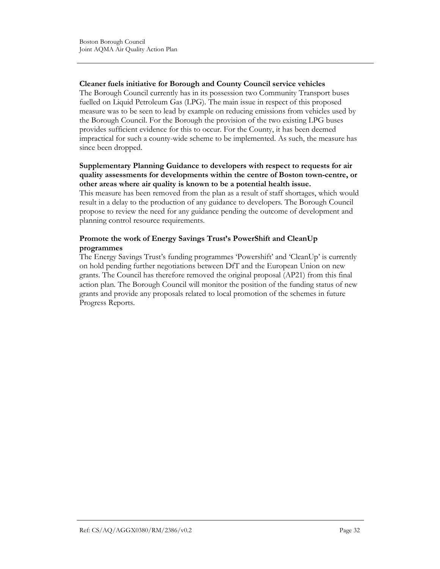### Cleaner fuels initiative for Borough and County Council service vehicles

The Borough Council currently has in its possession two Community Transport buses fuelled on Liquid Petroleum Gas (LPG). The main issue in respect of this proposed measure was to be seen to lead by example on reducing emissions from vehicles used by the Borough Council. For the Borough the provision of the two existing LPG buses provides sufficient evidence for this to occur. For the County, it has been deemed impractical for such a county-wide scheme to be implemented. As such, the measure has since been dropped.

### Supplementary Planning Guidance to developers with respect to requests for air quality assessments for developments within the centre of Boston town-centre, or other areas where air quality is known to be a potential health issue.

This measure has been removed from the plan as a result of staff shortages, which would result in a delay to the production of any guidance to developers. The Borough Council propose to review the need for any guidance pending the outcome of development and planning control resource requirements.

# Promote the work of Energy Savings Trust's PowerShift and CleanUp programmes

The Energy Savings Trust's funding programmes 'Powershift' and 'CleanUp' is currently on hold pending further negotiations between DfT and the European Union on new grants. The Council has therefore removed the original proposal (AP21) from this final action plan. The Borough Council will monitor the position of the funding status of new grants and provide any proposals related to local promotion of the schemes in future Progress Reports.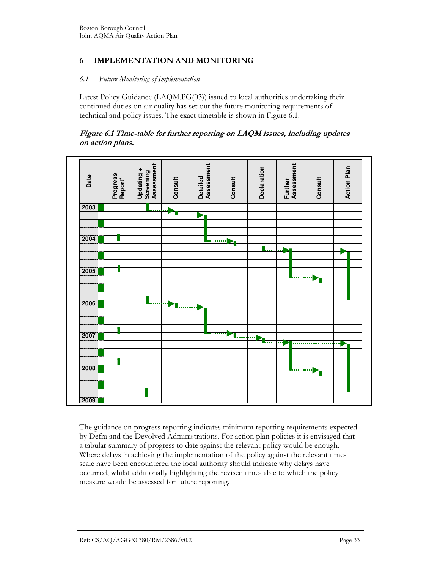# 6 IMPLEMENTATION AND MONITORING

#### 6.1 Future Monitoring of Implementation

Latest Policy Guidance (LAQM.PG(03)) issued to local authorities undertaking their continued duties on air quality has set out the future monitoring requirements of technical and policy issues. The exact timetable is shown in Figure 6.1.

### Figure 6.1 Time-table for further reporting on LAQM issues, including updates on action plans.



The guidance on progress reporting indicates minimum reporting requirements expected by Defra and the Devolved Administrations. For action plan policies it is envisaged that a tabular summary of progress to date against the relevant policy would be enough. Where delays in achieving the implementation of the policy against the relevant timescale have been encountered the local authority should indicate why delays have occurred, whilst additionally highlighting the revised time-table to which the policy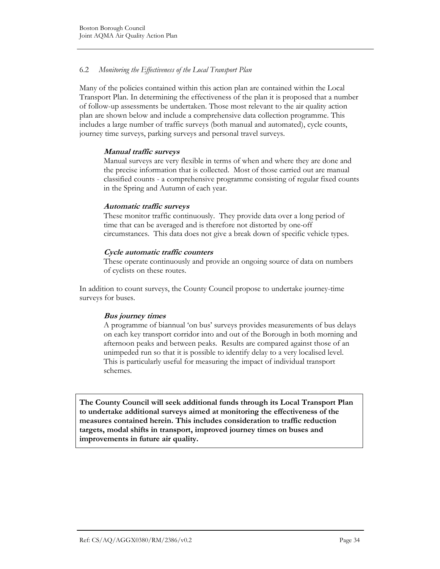# 6.2 Monitoring the Effectiveness of the Local Transport Plan

Many of the policies contained within this action plan are contained within the Local Transport Plan. In determining the effectiveness of the plan it is proposed that a number of follow-up assessments be undertaken. Those most relevant to the air quality action plan are shown below and include a comprehensive data collection programme. This includes a large number of traffic surveys (both manual and automated), cycle counts, journey time surveys, parking surveys and personal travel surveys.

#### Manual traffic surveys

Manual surveys are very flexible in terms of when and where they are done and the precise information that is collected. Most of those carried out are manual classified counts - a comprehensive programme consisting of regular fixed counts in the Spring and Autumn of each year.

#### Automatic traffic surveys

These monitor traffic continuously. They provide data over a long period of time that can be averaged and is therefore not distorted by one-off circumstances. This data does not give a break down of specific vehicle types.

#### Cycle automatic traffic counters

These operate continuously and provide an ongoing source of data on numbers of cyclists on these routes.

In addition to count surveys, the County Council propose to undertake journey-time surveys for buses.

# Bus journey times

A programme of biannual 'on bus' surveys provides measurements of bus delays on each key transport corridor into and out of the Borough in both morning and afternoon peaks and between peaks. Results are compared against those of an unimpeded run so that it is possible to identify delay to a very localised level. This is particularly useful for measuring the impact of individual transport schemes.

The County Council will seek additional funds through its Local Transport Plan to undertake additional surveys aimed at monitoring the effectiveness of the measures contained herein. This includes consideration to traffic reduction targets, modal shifts in transport, improved journey times on buses and improvements in future air quality.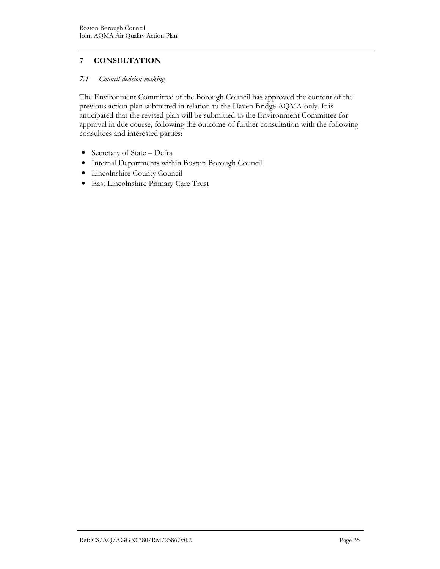# 7 CONSULTATION

### 7.1 Council decision making

The Environment Committee of the Borough Council has approved the content of the previous action plan submitted in relation to the Haven Bridge AQMA only. It is anticipated that the revised plan will be submitted to the Environment Committee for approval in due course, following the outcome of further consultation with the following consultees and interested parties:

- Secretary of State Defra
- Internal Departments within Boston Borough Council
- Lincolnshire County Council
- East Lincolnshire Primary Care Trust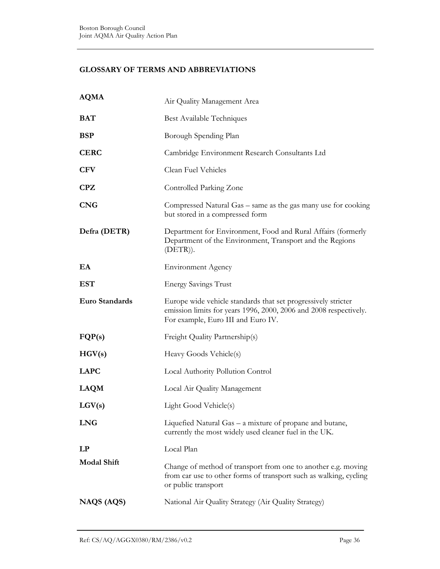# GLOSSARY OF TERMS AND ABBREVIATIONS

| <b>AQMA</b>        | Air Quality Management Area                                                                                                                                              |
|--------------------|--------------------------------------------------------------------------------------------------------------------------------------------------------------------------|
| <b>BAT</b>         | Best Available Techniques                                                                                                                                                |
| <b>BSP</b>         | Borough Spending Plan                                                                                                                                                    |
| <b>CERC</b>        | Cambridge Environment Research Consultants Ltd                                                                                                                           |
| <b>CFV</b>         | Clean Fuel Vehicles                                                                                                                                                      |
| CPZ                | Controlled Parking Zone                                                                                                                                                  |
| <b>CNG</b>         | Compressed Natural Gas – same as the gas many use for cooking<br>but stored in a compressed form                                                                         |
| Defra (DETR)       | Department for Environment, Food and Rural Affairs (formerly<br>Department of the Environment, Transport and the Regions<br>$(DETR)$ ).                                  |
| EA                 | <b>Environment Agency</b>                                                                                                                                                |
| <b>EST</b>         | <b>Energy Savings Trust</b>                                                                                                                                              |
| Euro Standards     | Europe wide vehicle standards that set progressively stricter<br>emission limits for years 1996, 2000, 2006 and 2008 respectively.<br>For example, Euro III and Euro IV. |
| FQP(s)             | Freight Quality Partnership(s)                                                                                                                                           |
| HGV(s)             | Heavy Goods Vehicle(s)                                                                                                                                                   |
| <b>LAPC</b>        | Local Authority Pollution Control                                                                                                                                        |
| <b>LAQM</b>        | Local Air Quality Management                                                                                                                                             |
| LGV(s)             | Light Good Vehicle(s)                                                                                                                                                    |
| <b>LNG</b>         | Liquefied Natural Gas – a mixture of propane and butane,<br>currently the most widely used cleaner fuel in the UK.                                                       |
| LP                 | Local Plan                                                                                                                                                               |
| <b>Modal Shift</b> | Change of method of transport from one to another e.g. moving<br>from car use to other forms of transport such as walking, cycling<br>or public transport                |
| NAQS (AQS)         | National Air Quality Strategy (Air Quality Strategy)                                                                                                                     |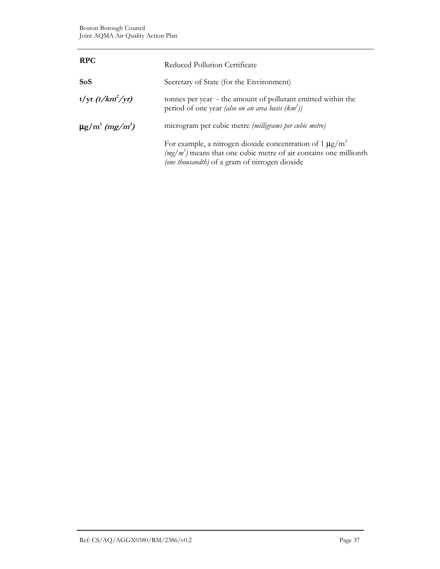| <b>RPC</b>                                  | Reduced Pollution Certificate                                                                                                                                                                     |
|---------------------------------------------|---------------------------------------------------------------------------------------------------------------------------------------------------------------------------------------------------|
| <b>SoS</b>                                  | Secretary of State (for the Environment)                                                                                                                                                          |
| $t/\text{yr } (t/km^2/\text{yr})$           | tonnes per year - the amount of pollutant emitted within the<br>period of one year (also on an area basis $(km^2)$ )                                                                              |
| $\mu$ g/m <sup>3</sup> (mg/m <sup>3</sup> ) | microgram per cubic metre (milligrams per cubic metre)                                                                                                                                            |
|                                             | For example, a nitrogen dioxide concentration of 1 $\mu$ g/m <sup>3</sup><br>$(mg/m3)$ means that one cubic metre of air contains one millionth<br>(one thousandth) of a gram of nitrogen dioxide |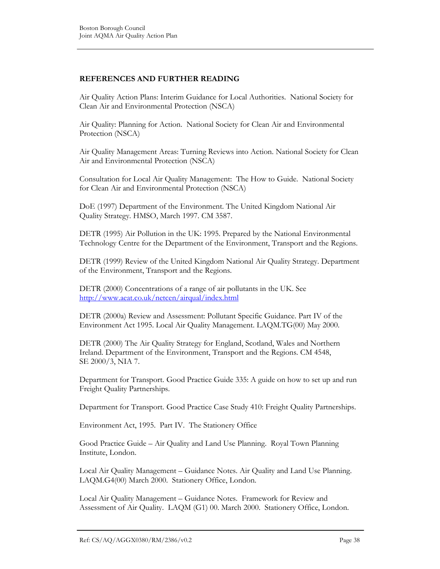# REFERENCES AND FURTHER READING

Air Quality Action Plans: Interim Guidance for Local Authorities. National Society for Clean Air and Environmental Protection (NSCA)

Air Quality: Planning for Action. National Society for Clean Air and Environmental Protection (NSCA)

Air Quality Management Areas: Turning Reviews into Action. National Society for Clean Air and Environmental Protection (NSCA)

Consultation for Local Air Quality Management: The How to Guide. National Society for Clean Air and Environmental Protection (NSCA)

DoE (1997) Department of the Environment. The United Kingdom National Air Quality Strategy. HMSO, March 1997. CM 3587.

DETR (1995) Air Pollution in the UK: 1995. Prepared by the National Environmental Technology Centre for the Department of the Environment, Transport and the Regions.

DETR (1999) Review of the United Kingdom National Air Quality Strategy. Department of the Environment, Transport and the Regions.

DETR (2000) Concentrations of a range of air pollutants in the UK. See http://www.aeat.co.uk/netcen/airqual/index.html

DETR (2000a) Review and Assessment: Pollutant Specific Guidance. Part IV of the Environment Act 1995. Local Air Quality Management. LAQM.TG(00) May 2000.

DETR (2000) The Air Quality Strategy for England, Scotland, Wales and Northern Ireland. Department of the Environment, Transport and the Regions. CM 4548, SE 2000/3, NIA 7.

Department for Transport. Good Practice Guide 335: A guide on how to set up and run Freight Quality Partnerships.

Department for Transport. Good Practice Case Study 410: Freight Quality Partnerships.

Environment Act, 1995. Part IV. The Stationery Office

Good Practice Guide – Air Quality and Land Use Planning. Royal Town Planning Institute, London.

Local Air Quality Management – Guidance Notes. Air Quality and Land Use Planning. LAQM.G4(00) March 2000. Stationery Office, London.

Local Air Quality Management – Guidance Notes. Framework for Review and Assessment of Air Quality. LAQM (G1) 00. March 2000. Stationery Office, London.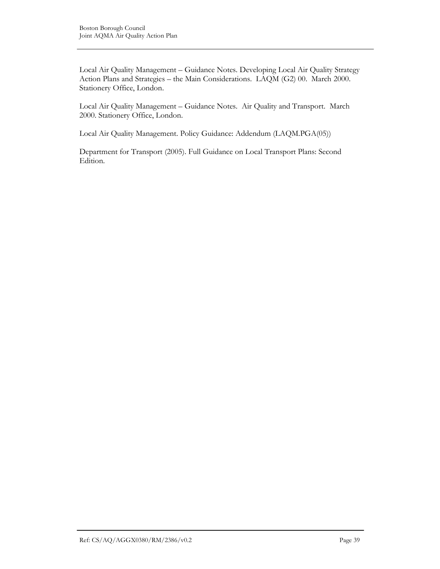Local Air Quality Management – Guidance Notes. Developing Local Air Quality Strategy Action Plans and Strategies – the Main Considerations. LAQM (G2) 00. March 2000. Stationery Office, London.

Local Air Quality Management – Guidance Notes. Air Quality and Transport. March 2000. Stationery Office, London.

Local Air Quality Management. Policy Guidance: Addendum (LAQM.PGA(05))

Department for Transport (2005). Full Guidance on Local Transport Plans: Second Edition.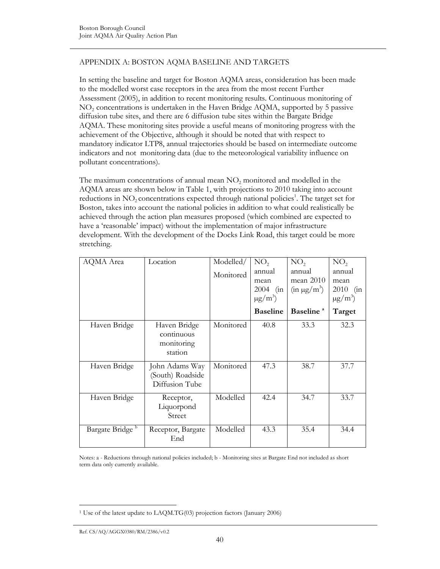# APPENDIX A: BOSTON AQMA BASELINE AND TARGETS

In setting the baseline and target for Boston AQMA areas, consideration has been made to the modelled worst case receptors in the area from the most recent Further Assessment (2005), in addition to recent monitoring results. Continuous monitoring of NO<sup>2</sup> concentrations is undertaken in the Haven Bridge AQMA, supported by 5 passive diffusion tube sites, and there are 6 diffusion tube sites within the Bargate Bridge AQMA. These monitoring sites provide a useful means of monitoring progress with the achievement of the Objective, although it should be noted that with respect to mandatory indicator LTP8, annual trajectories should be based on intermediate outcome indicators and not monitoring data (due to the meteorological variability influence on pollutant concentrations).

The maximum concentrations of annual mean  $NO<sub>2</sub>$  monitored and modelled in the AQMA areas are shown below in Table 1, with projections to 2010 taking into account reductions in  $NO_2$  concentrations expected through national policies<sup>1</sup>. The target set for Boston, takes into account the national policies in addition to what could realistically be achieved through the action plan measures proposed (which combined are expected to have a 'reasonable' impact) without the implementation of major infrastructure development. With the development of the Docks Link Road, this target could be more stretching.

| AQMA Area                   | Location                                             | Modelled/<br>Monitored | NO <sub>2</sub><br>annual<br>mean<br>$2004$ (in<br>$\mu g/m^3$ | NO <sub>2</sub><br>annual<br>mean $2010$<br>$(in \mu g/m^3)$ | NO <sub>2</sub><br>annual<br>mean<br>2010 (in<br>$\mu$ g/m <sup>3</sup> ) |
|-----------------------------|------------------------------------------------------|------------------------|----------------------------------------------------------------|--------------------------------------------------------------|---------------------------------------------------------------------------|
|                             |                                                      |                        | <b>Baseline</b>                                                | Baseline <sup>a</sup>                                        | Target                                                                    |
| Haven Bridge                | Haven Bridge<br>continuous<br>monitoring<br>station  | Monitored              | 40.8                                                           | 33.3                                                         | 32.3                                                                      |
| Haven Bridge                | John Adams Way<br>(South) Roadside<br>Diffusion Tube | Monitored              | 47.3                                                           | 38.7                                                         | 37.7                                                                      |
| Haven Bridge                | Receptor,<br>Liquorpond<br>Street                    | Modelled               | 42.4                                                           | 34.7                                                         | 33.7                                                                      |
| Bargate Bridge <sup>b</sup> | Receptor, Bargate<br>End                             | Modelled               | 43.3                                                           | 35.4                                                         | 34.4                                                                      |

Notes: a - Reductions through national policies included; b - Monitoring sites at Bargate End not included as short term data only currently available.

 $\overline{a}$ <sup>1</sup> Use of the latest update to LAQM.TG(03) projection factors (January 2006)

Ref. CS/AQ/AGGX0380/RM/2386/v0.2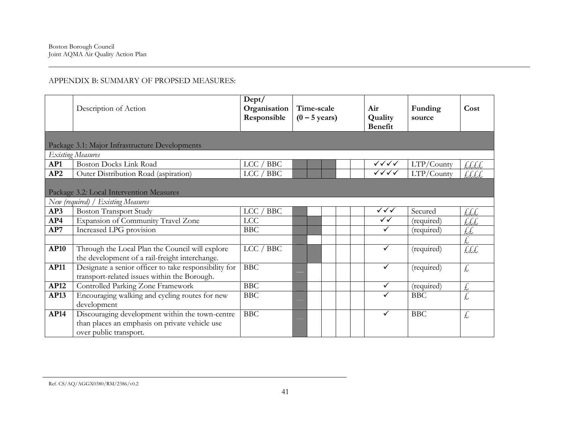# APPENDIX B: SUMMARY OF PROPSED MEASURES:

|             | Description of Action                                                                                                       | Dept/<br>Organisation<br>Responsible | Time-scale<br>$(0 - 5$ years) |  |  | Air<br>Quality<br><b>Benefit</b> | Funding<br>source | Cost                 |
|-------------|-----------------------------------------------------------------------------------------------------------------------------|--------------------------------------|-------------------------------|--|--|----------------------------------|-------------------|----------------------|
|             | Package 3.1: Major Infrastructure Developments                                                                              |                                      |                               |  |  |                                  |                   |                      |
|             | <b>Existing Measures</b>                                                                                                    |                                      |                               |  |  |                                  |                   |                      |
| AP1         | <b>Boston Docks Link Road</b>                                                                                               | LCC / BBC                            |                               |  |  | ✓✓✓✓                             | LTP/County        | LLLL                 |
| AP2         | Outer Distribution Road (aspiration)                                                                                        | LCC / BBC                            |                               |  |  | $\checkmark\checkmark\checkmark$ | LTP/County        | LLLL                 |
|             | Package 3.2: Local Intervention Measures                                                                                    |                                      |                               |  |  |                                  |                   |                      |
| AP3         | New (required) / Existing Measures<br><b>Boston Transport Study</b>                                                         | <b>BBC</b><br><b>LCC</b>             |                               |  |  | ✓✓✓                              | Secured           |                      |
| AP4         |                                                                                                                             | LCC                                  |                               |  |  | $\checkmark$                     |                   | £££                  |
|             | Expansion of Community Travel Zone                                                                                          |                                      |                               |  |  | $\checkmark$                     | (required)        | £££                  |
| AP7         | Increased LPG provision                                                                                                     | <b>BBC</b>                           |                               |  |  |                                  | (required)        | ££                   |
| <b>AP10</b> | Through the Local Plan the Council will explore<br>the development of a rail-freight interchange.                           | LCC / BBC                            |                               |  |  | $\checkmark$                     | (required)        | LLL                  |
| <b>AP11</b> | Designate a senior officer to take responsibility for<br>transport-related issues within the Borough.                       | <b>BBC</b>                           |                               |  |  | $\checkmark$                     | (required)        | £,                   |
| AP12        | Controlled Parking Zone Framework                                                                                           | <b>BBC</b>                           |                               |  |  | $\checkmark$                     | (required)        | £,                   |
| AP13        | Encouraging walking and cycling routes for new<br>development                                                               | <b>BBC</b>                           |                               |  |  | $\checkmark$                     | <b>BBC</b>        | $\frac{1}{\sqrt{2}}$ |
| <b>AP14</b> | Discouraging development within the town-centre<br>than places an emphasis on private vehicle use<br>over public transport. | <b>BBC</b>                           |                               |  |  | $\checkmark$                     | <b>BBC</b>        | £                    |

Ref. CS/AQ/AGGX0380/RM/2386/v0.2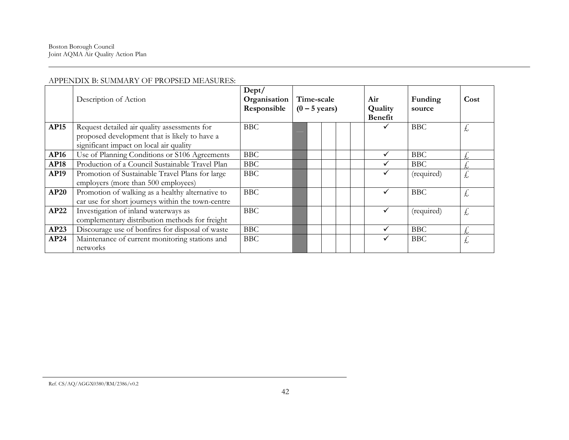### APPENDIX B: SUMMARY OF PROPSED MEASURES:

|             | Dept/<br>Organisation<br>Description of Action<br>Time-scale<br>Responsible<br>$(0 - 5$ years)                                           |            | Air<br>Quality<br><b>Benefit</b> | Funding<br>source | Cost |            |    |
|-------------|------------------------------------------------------------------------------------------------------------------------------------------|------------|----------------------------------|-------------------|------|------------|----|
| <b>AP15</b> | Request detailed air quality assessments for<br>proposed development that is likely to have a<br>significant impact on local air quality | <b>BBC</b> |                                  |                   |      | <b>BBC</b> | 大  |
| <b>AP16</b> | Use of Planning Conditions or S106 Agreements                                                                                            | <b>BBC</b> |                                  |                   |      | <b>BBC</b> |    |
| <b>AP18</b> | Production of a Council Sustainable Travel Plan                                                                                          | <b>BBC</b> |                                  |                   |      | <b>BBC</b> |    |
| <b>AP19</b> | Promotion of Sustainable Travel Plans for large<br>employers (more than 500 employees)                                                   | <b>BBC</b> |                                  |                   |      | (required) | £, |
| <b>AP20</b> | Promotion of walking as a healthy alternative to<br>car use for short journeys within the town-centre                                    | <b>BBC</b> |                                  |                   |      | <b>BBC</b> | £, |
| AP22        | Investigation of inland waterways as<br>complementary distribution methods for freight                                                   | <b>BBC</b> |                                  |                   |      | (required) | 圡  |
| AP23        | <b>BBC</b><br>Discourage use of bonfires for disposal of waste                                                                           |            |                                  |                   |      | <b>BBC</b> | £, |
| AP24        | Maintenance of current monitoring stations and<br>networks                                                                               | <b>BBC</b> |                                  |                   |      | <b>BBC</b> | 大  |

Ref. CS/AQ/AGGX0380/RM/2386/v0.2